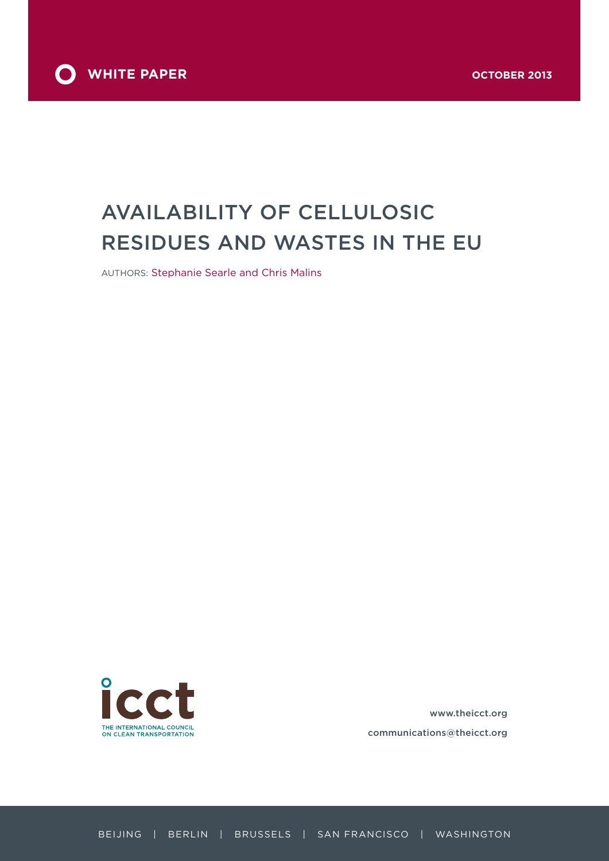

# Availability of cellulosic residues and wastes in the EU

Authors: Stephanie Searle and Chris Malins



www.theicct.org communications@theicct.org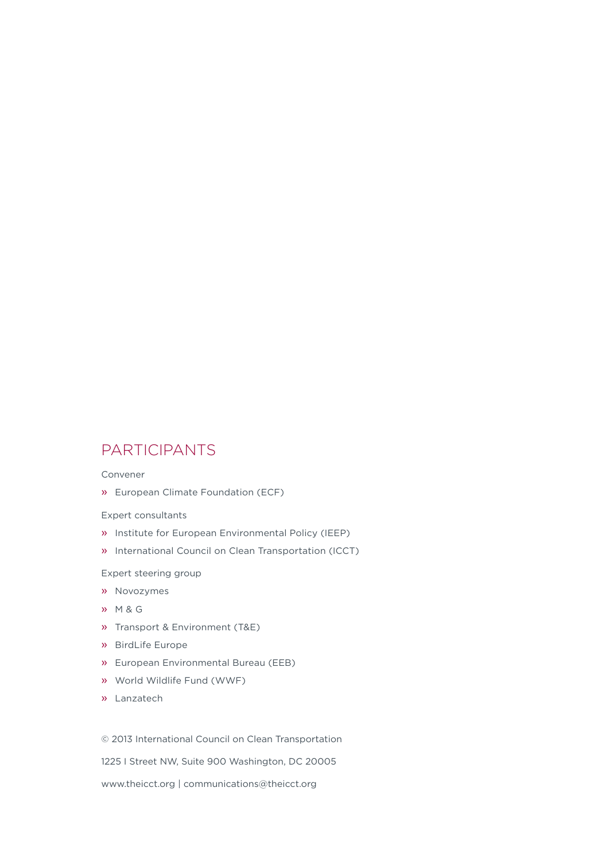### **PARTICIPANTS**

Convener

» European Climate Foundation (ECF)

Expert consultants

- » Institute for European Environmental Policy (IEEP)
- » International Council on Clean Transportation (ICCT)

Expert steering group

- » Novozymes
- » M & G
- » Transport & Environment (T&E)
- » BirdLife Europe
- » European Environmental Bureau (EEB)
- » World Wildlife Fund (WWF)
- » Lanzatech

© 2013 International Council on Clean Transportation

1225 I Street NW, Suite 900 Washington, DC 20005

www.theicct.org | communications@theicct.org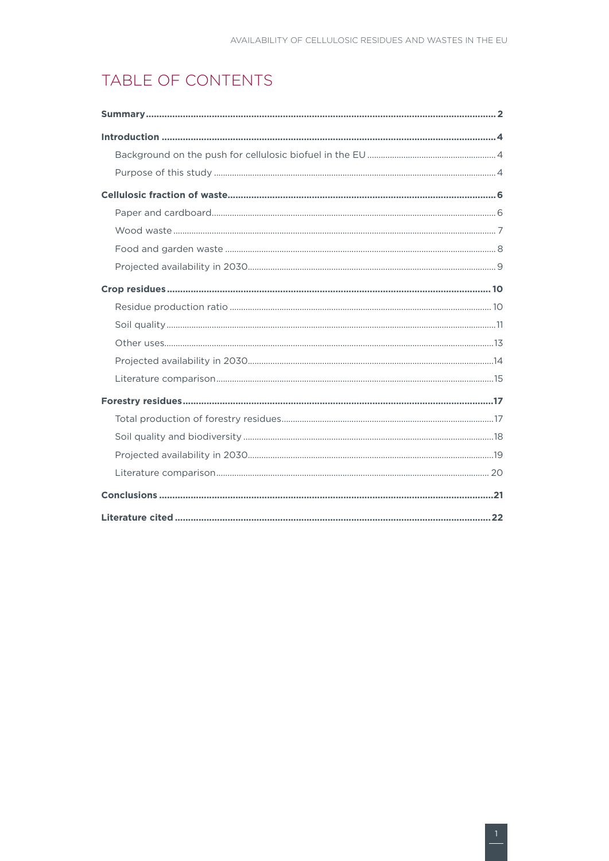# TABLE OF CONTENTS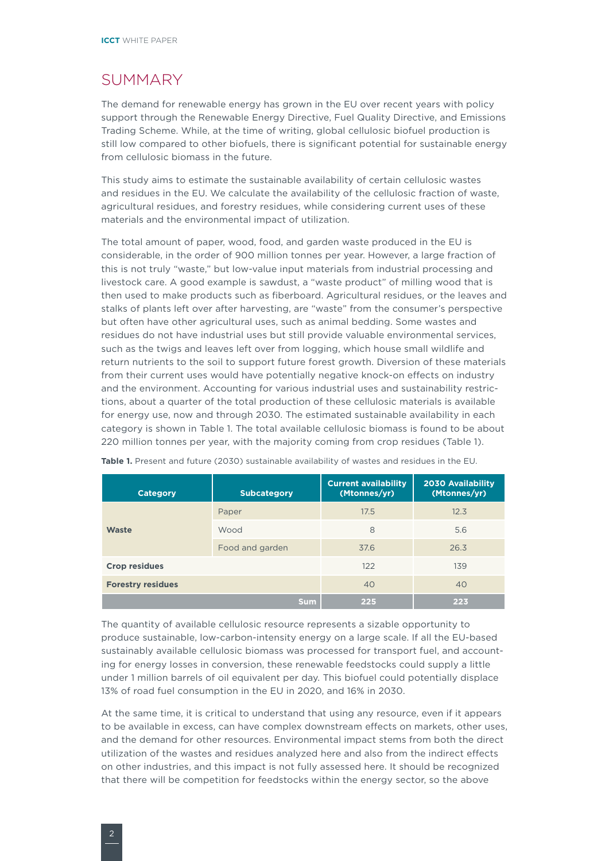# <span id="page-3-0"></span>**SUMMARY**

The demand for renewable energy has grown in the EU over recent years with policy support through the Renewable Energy Directive, Fuel Quality Directive, and Emissions Trading Scheme. While, at the time of writing, global cellulosic biofuel production is still low compared to other biofuels, there is significant potential for sustainable energy from cellulosic biomass in the future.

This study aims to estimate the sustainable availability of certain cellulosic wastes and residues in the EU. We calculate the availability of the cellulosic fraction of waste, agricultural residues, and forestry residues, while considering current uses of these materials and the environmental impact of utilization.

The total amount of paper, wood, food, and garden waste produced in the EU is considerable, in the order of 900 million tonnes per year. However, a large fraction of this is not truly "waste," but low-value input materials from industrial processing and livestock care. A good example is sawdust, a "waste product" of milling wood that is then used to make products such as fiberboard. Agricultural residues, or the leaves and stalks of plants left over after harvesting, are "waste" from the consumer's perspective but often have other agricultural uses, such as animal bedding. Some wastes and residues do not have industrial uses but still provide valuable environmental services, such as the twigs and leaves left over from logging, which house small wildlife and return nutrients to the soil to support future forest growth. Diversion of these materials from their current uses would have potentially negative knock-on effects on industry and the environment. Accounting for various industrial uses and sustainability restrictions, about a quarter of the total production of these cellulosic materials is available for energy use, now and through 2030. The estimated sustainable availability in each category is shown in Table 1. The total available cellulosic biomass is found to be about 220 million tonnes per year, with the majority coming from crop residues (Table 1).

| <b>Category</b>          | <b>Subcategory</b> | <b>Current availability</b><br>(Mtonnes/yr) | <b>2030 Availability</b><br>(Mtonnes/yr) |
|--------------------------|--------------------|---------------------------------------------|------------------------------------------|
|                          | Paper              | 17.5                                        | 12.3                                     |
| <b>Waste</b>             | Wood               | 8                                           | 5.6                                      |
|                          | Food and garden    | 37.6                                        | 26.3                                     |
| <b>Crop residues</b>     |                    | 122                                         | 139                                      |
| <b>Forestry residues</b> |                    | 40                                          | 40                                       |
|                          | <b>Sum</b>         | 225                                         | 223                                      |

**Table 1.** Present and future (2030) sustainable availability of wastes and residues in the EU.

The quantity of available cellulosic resource represents a sizable opportunity to produce sustainable, low-carbon-intensity energy on a large scale. If all the EU-based sustainably available cellulosic biomass was processed for transport fuel, and accounting for energy losses in conversion, these renewable feedstocks could supply a little under 1 million barrels of oil equivalent per day. This biofuel could potentially displace 13% of road fuel consumption in the EU in 2020, and 16% in 2030.

At the same time, it is critical to understand that using any resource, even if it appears to be available in excess, can have complex downstream effects on markets, other uses, and the demand for other resources. Environmental impact stems from both the direct utilization of the wastes and residues analyzed here and also from the indirect effects on other industries, and this impact is not fully assessed here. It should be recognized that there will be competition for feedstocks within the energy sector, so the above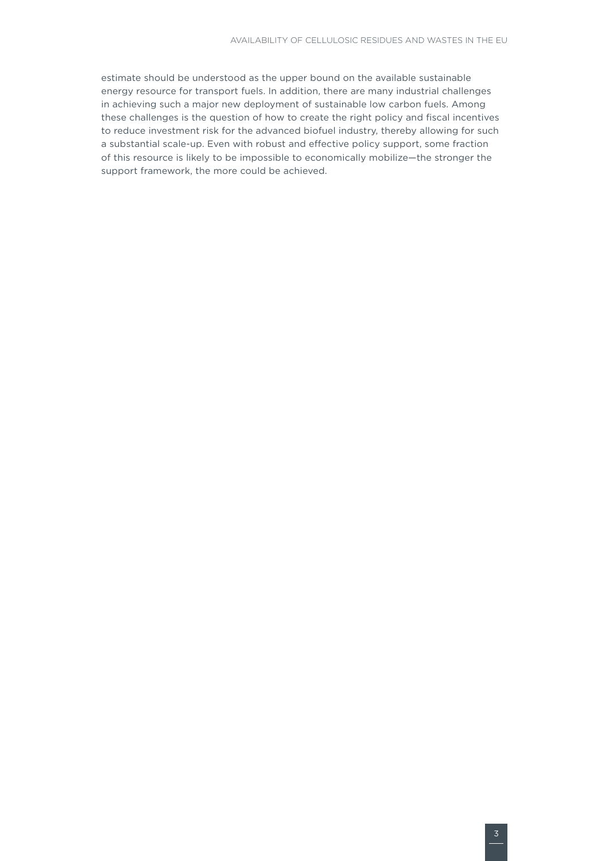estimate should be understood as the upper bound on the available sustainable energy resource for transport fuels. In addition, there are many industrial challenges in achieving such a major new deployment of sustainable low carbon fuels. Among these challenges is the question of how to create the right policy and fiscal incentives to reduce investment risk for the advanced biofuel industry, thereby allowing for such a substantial scale-up. Even with robust and effective policy support, some fraction of this resource is likely to be impossible to economically mobilize—the stronger the support framework, the more could be achieved.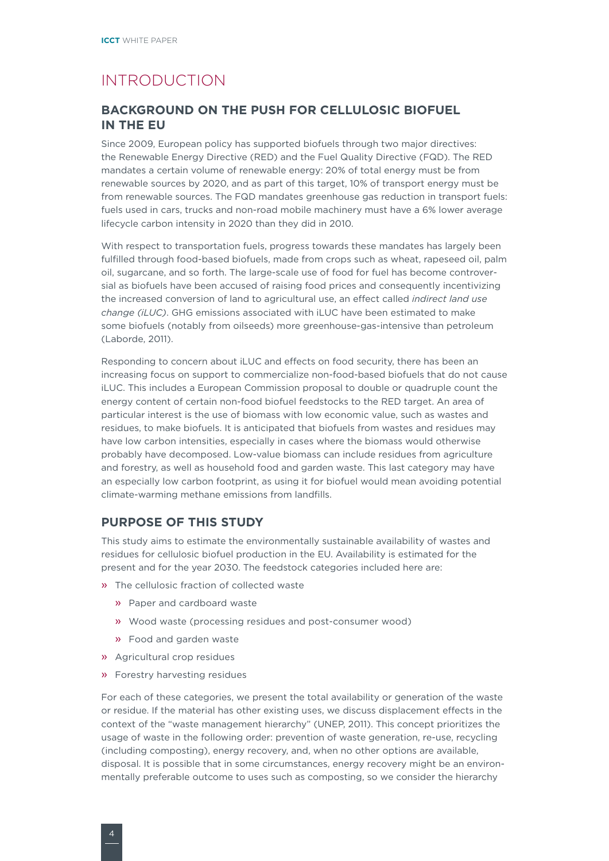# <span id="page-5-0"></span>Introduction

#### **Background on the push for cellulosic biofuel in the EU**

Since 2009, European policy has supported biofuels through two major directives: the Renewable Energy Directive (RED) and the Fuel Quality Directive (FQD). The RED mandates a certain volume of renewable energy: 20% of total energy must be from renewable sources by 2020, and as part of this target, 10% of transport energy must be from renewable sources. The FQD mandates greenhouse gas reduction in transport fuels: fuels used in cars, trucks and non-road mobile machinery must have a 6% lower average lifecycle carbon intensity in 2020 than they did in 2010.

With respect to transportation fuels, progress towards these mandates has largely been fulfilled through food-based biofuels, made from crops such as wheat, rapeseed oil, palm oil, sugarcane, and so forth. The large-scale use of food for fuel has become controversial as biofuels have been accused of raising food prices and consequently incentivizing the increased conversion of land to agricultural use, an effect called *indirect land use change (iLUC)*. GHG emissions associated with iLUC have been estimated to make some biofuels (notably from oilseeds) more greenhouse-gas-intensive than petroleum (Laborde, 2011).

Responding to concern about iLUC and effects on food security, there has been an increasing focus on support to commercialize non-food-based biofuels that do not cause iLUC. This includes a European Commission proposal to double or quadruple count the energy content of certain non-food biofuel feedstocks to the RED target. An area of particular interest is the use of biomass with low economic value, such as wastes and residues, to make biofuels. It is anticipated that biofuels from wastes and residues may have low carbon intensities, especially in cases where the biomass would otherwise probably have decomposed. Low-value biomass can include residues from agriculture and forestry, as well as household food and garden waste. This last category may have an especially low carbon footprint, as using it for biofuel would mean avoiding potential climate-warming methane emissions from landfills.

#### **Purpose of this study**

This study aims to estimate the environmentally sustainable availability of wastes and residues for cellulosic biofuel production in the EU. Availability is estimated for the present and for the year 2030. The feedstock categories included here are:

- » The cellulosic fraction of collected waste
	- » Paper and cardboard waste
	- » Wood waste (processing residues and post-consumer wood)
	- » Food and garden waste
- » Agricultural crop residues
- » Forestry harvesting residues

For each of these categories, we present the total availability or generation of the waste or residue. If the material has other existing uses, we discuss displacement effects in the context of the "waste management hierarchy" (UNEP, 2011). This concept prioritizes the usage of waste in the following order: prevention of waste generation, re-use, recycling (including composting), energy recovery, and, when no other options are available, disposal. It is possible that in some circumstances, energy recovery might be an environmentally preferable outcome to uses such as composting, so we consider the hierarchy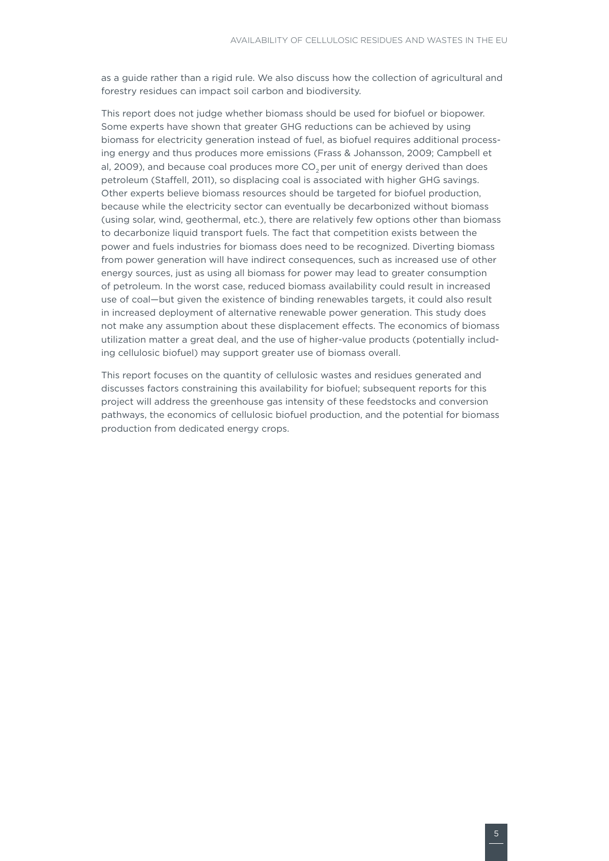as a guide rather than a rigid rule. We also discuss how the collection of agricultural and forestry residues can impact soil carbon and biodiversity.

This report does not judge whether biomass should be used for biofuel or biopower. Some experts have shown that greater GHG reductions can be achieved by using biomass for electricity generation instead of fuel, as biofuel requires additional processing energy and thus produces more emissions (Frass & Johansson, 2009; Campbell et al, 2009), and because coal produces more CO<sub>2</sub> per unit of energy derived than does petroleum (Staffell, 2011), so displacing coal is associated with higher GHG savings. Other experts believe biomass resources should be targeted for biofuel production, because while the electricity sector can eventually be decarbonized without biomass (using solar, wind, geothermal, etc.), there are relatively few options other than biomass to decarbonize liquid transport fuels. The fact that competition exists between the power and fuels industries for biomass does need to be recognized. Diverting biomass from power generation will have indirect consequences, such as increased use of other energy sources, just as using all biomass for power may lead to greater consumption of petroleum. In the worst case, reduced biomass availability could result in increased use of coal—but given the existence of binding renewables targets, it could also result in increased deployment of alternative renewable power generation. This study does not make any assumption about these displacement effects. The economics of biomass utilization matter a great deal, and the use of higher-value products (potentially including cellulosic biofuel) may support greater use of biomass overall.

This report focuses on the quantity of cellulosic wastes and residues generated and discusses factors constraining this availability for biofuel; subsequent reports for this project will address the greenhouse gas intensity of these feedstocks and conversion pathways, the economics of cellulosic biofuel production, and the potential for biomass production from dedicated energy crops.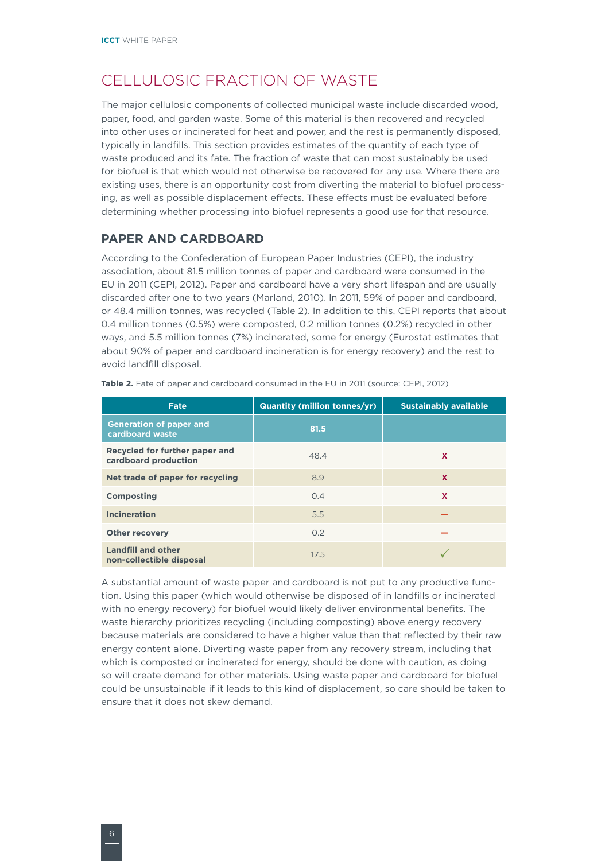# <span id="page-7-0"></span>Cellulosic fraction of waste

The major cellulosic components of collected municipal waste include discarded wood, paper, food, and garden waste. Some of this material is then recovered and recycled into other uses or incinerated for heat and power, and the rest is permanently disposed, typically in landfills. This section provides estimates of the quantity of each type of waste produced and its fate. The fraction of waste that can most sustainably be used for biofuel is that which would not otherwise be recovered for any use. Where there are existing uses, there is an opportunity cost from diverting the material to biofuel processing, as well as possible displacement effects. These effects must be evaluated before determining whether processing into biofuel represents a good use for that resource.

#### **Paper and cardboard**

According to the Confederation of European Paper Industries (CEPI), the industry association, about 81.5 million tonnes of paper and cardboard were consumed in the EU in 2011 (CEPI, 2012). Paper and cardboard have a very short lifespan and are usually discarded after one to two years (Marland, 2010). In 2011, 59% of paper and cardboard, or 48.4 million tonnes, was recycled (Table 2). In addition to this, CEPI reports that about 0.4 million tonnes (0.5%) were composted, 0.2 million tonnes (0.2%) recycled in other ways, and 5.5 million tonnes (7%) incinerated, some for energy (Eurostat estimates that about 90% of paper and cardboard incineration is for energy recovery) and the rest to avoid landfill disposal.

| Fate                                                   | <b>Quantity (million tonnes/yr)</b> | <b>Sustainably available</b> |
|--------------------------------------------------------|-------------------------------------|------------------------------|
| <b>Generation of paper and</b><br>cardboard waste      | 81.5                                |                              |
| Recycled for further paper and<br>cardboard production | 48.4                                | X                            |
| Net trade of paper for recycling                       | 8.9                                 | X                            |
| <b>Composting</b>                                      | 0.4                                 | X                            |
| <b>Incineration</b>                                    | 5.5                                 |                              |
| <b>Other recovery</b>                                  | 0.2                                 |                              |
| <b>Landfill and other</b><br>non-collectible disposal  | 17.5                                |                              |

**Table 2.** Fate of paper and cardboard consumed in the EU in 2011 (source: CEPI, 2012)

A substantial amount of waste paper and cardboard is not put to any productive function. Using this paper (which would otherwise be disposed of in landfills or incinerated with no energy recovery) for biofuel would likely deliver environmental benefits. The waste hierarchy prioritizes recycling (including composting) above energy recovery because materials are considered to have a higher value than that reflected by their raw energy content alone. Diverting waste paper from any recovery stream, including that which is composted or incinerated for energy, should be done with caution, as doing so will create demand for other materials. Using waste paper and cardboard for biofuel could be unsustainable if it leads to this kind of displacement, so care should be taken to ensure that it does not skew demand.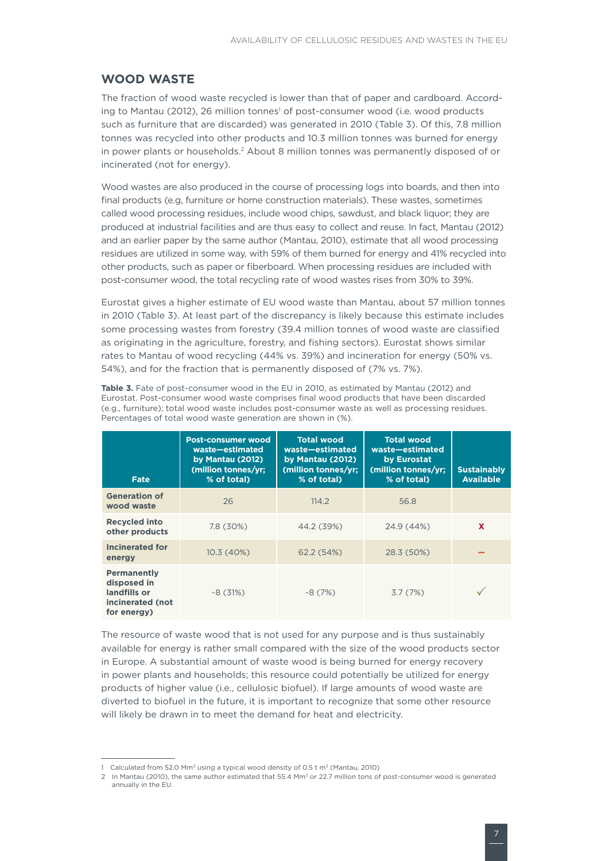#### <span id="page-8-0"></span>**Wood waste**

The fraction of wood waste recycled is lower than that of paper and cardboard. According to Mantau (2012), 26 million tonnes<sup>1</sup> of post-consumer wood (i.e. wood products such as furniture that are discarded) was generated in 2010 (Table 3). Of this, 7.8 million tonnes was recycled into other products and 10.3 million tonnes was burned for energy in power plants or households.2 About 8 million tonnes was permanently disposed of or incinerated (not for energy).

Wood wastes are also produced in the course of processing logs into boards, and then into final products (e.g, furniture or home construction materials). These wastes, sometimes called wood processing residues, include wood chips, sawdust, and black liquor; they are produced at industrial facilities and are thus easy to collect and reuse. In fact, Mantau (2012) and an earlier paper by the same author (Mantau, 2010), estimate that all wood processing residues are utilized in some way, with 59% of them burned for energy and 41% recycled into other products, such as paper or fiberboard. When processing residues are included with post-consumer wood, the total recycling rate of wood wastes rises from 30% to 39%.

Eurostat gives a higher estimate of EU wood waste than Mantau, about 57 million tonnes in 2010 (Table 3). At least part of the discrepancy is likely because this estimate includes some processing wastes from forestry (39.4 million tonnes of wood waste are classified as originating in the agriculture, forestry, and fishing sectors). Eurostat shows similar rates to Mantau of wood recycling (44% vs. 39%) and incineration for energy (50% vs. 54%), and for the fraction that is permanently disposed of (7% vs. 7%).

| Fate                                                                                 | <b>Post-consumer wood</b><br>waste-estimated<br>by Mantau (2012)<br>(million tonnes/yr;<br>% of total) | <b>Total wood</b><br>waste-estimated<br>by Mantau (2012)<br>(million tonnes/yr:<br>% of total) | <b>Total wood</b><br>waste-estimated<br>by Eurostat<br>(million tonnes/yr:<br>% of total) | <b>Sustainably</b><br><b>Available</b> |
|--------------------------------------------------------------------------------------|--------------------------------------------------------------------------------------------------------|------------------------------------------------------------------------------------------------|-------------------------------------------------------------------------------------------|----------------------------------------|
| <b>Generation of</b><br>wood waste                                                   | 26                                                                                                     | 114.2                                                                                          | 56.8                                                                                      |                                        |
| <b>Recycled into</b><br>other products                                               | 7.8 (30%)                                                                                              | 44.2 (39%)                                                                                     | 24.9 (44%)                                                                                | $\mathbf{x}$                           |
| <b>Incinerated for</b><br>energy                                                     | 10.3(40%)                                                                                              | 62.2 (54%)                                                                                     | 28.3 (50%)                                                                                |                                        |
| <b>Permanently</b><br>disposed in<br>landfills or<br>incinerated (not<br>for energy) | $-8(31%)$                                                                                              | $-8(7%)$                                                                                       | 3.7(7%)                                                                                   |                                        |

**Table 3.** Fate of post-consumer wood in the EU in 2010, as estimated by Mantau (2012) and Eurostat. Post-consumer wood waste comprises final wood products that have been discarded (e.g., furniture); total wood waste includes post-consumer waste as well as processing residues. Percentages of total wood waste generation are shown in (%).

The resource of waste wood that is not used for any purpose and is thus sustainably available for energy is rather small compared with the size of the wood products sector in Europe. A substantial amount of waste wood is being burned for energy recovery in power plants and households; this resource could potentially be utilized for energy products of higher value (i.e., cellulosic biofuel). If large amounts of wood waste are diverted to biofuel in the future, it is important to recognize that some other resource will likely be drawn in to meet the demand for heat and electricity.

<sup>1</sup> Calculated from 52.0 Mm<sup>3</sup> using a typical wood density of 0.5 t m<sup>3</sup> (Mantau, 2010)

<sup>2</sup> In Mantau (2010), the same author estimated that 55.4 Mm<sup>3</sup> or 22.7 million tons of post-consumer wood is generated annually in the EU.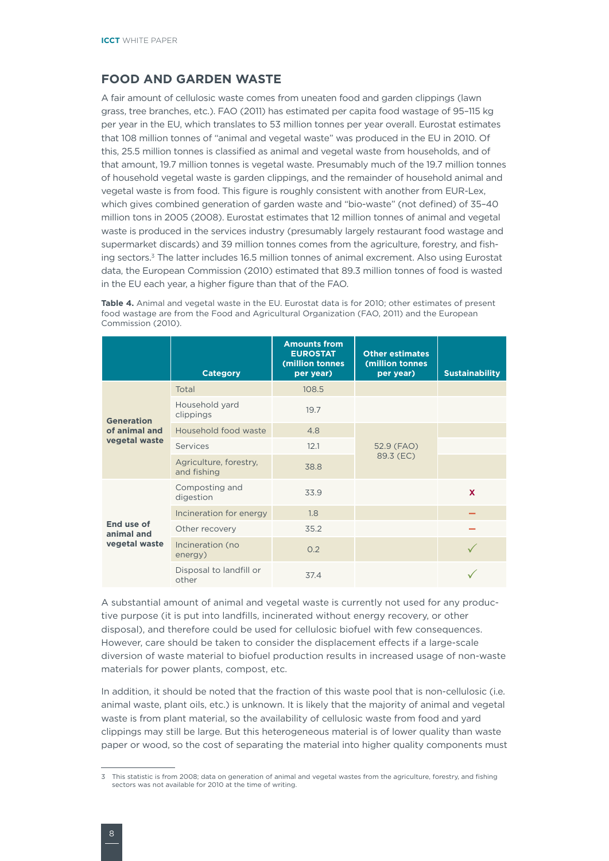#### <span id="page-9-0"></span>**Food and garden waste**

A fair amount of cellulosic waste comes from uneaten food and garden clippings (lawn grass, tree branches, etc.). FAO (2011) has estimated per capita food wastage of 95–115 kg per year in the EU, which translates to 53 million tonnes per year overall. Eurostat estimates that 108 million tonnes of "animal and vegetal waste" was produced in the EU in 2010. Of this, 25.5 million tonnes is classified as animal and vegetal waste from households, and of that amount, 19.7 million tonnes is vegetal waste. Presumably much of the 19.7 million tonnes of household vegetal waste is garden clippings, and the remainder of household animal and vegetal waste is from food. This figure is roughly consistent with another from EUR-Lex, which gives combined generation of garden waste and "bio-waste" (not defined) of 35–40 million tons in 2005 (2008). Eurostat estimates that 12 million tonnes of animal and vegetal waste is produced in the services industry (presumably largely restaurant food wastage and supermarket discards) and 39 million tonnes comes from the agriculture, forestry, and fishing sectors.<sup>3</sup> The latter includes 16.5 million tonnes of animal excrement. Also using Eurostat data, the European Commission (2010) estimated that 89.3 million tonnes of food is wasted in the EU each year, a higher figure than that of the FAO.

**Table 4.** Animal and vegetal waste in the EU. Eurostat data is for 2010; other estimates of present food wastage are from the Food and Agricultural Organization (FAO, 2011) and the European Commission (2010).

|                                           | <b>Category</b>                       | <b>Amounts from</b><br><b>EUROSTAT</b><br>(million tonnes<br>per year) | <b>Other estimates</b><br>(million tonnes<br>per year) | <b>Sustainability</b> |
|-------------------------------------------|---------------------------------------|------------------------------------------------------------------------|--------------------------------------------------------|-----------------------|
|                                           | Total                                 | 108.5                                                                  |                                                        |                       |
| <b>Generation</b>                         | Household yard<br>clippings           | 19.7                                                                   |                                                        |                       |
| of animal and<br>vegetal waste            | Household food waste                  | 4.8                                                                    |                                                        |                       |
|                                           | Services                              | 12.1                                                                   | 52.9 (FAO)                                             |                       |
|                                           | Agriculture, forestry,<br>and fishing | 38.8                                                                   | 89.3 (EC)                                              |                       |
|                                           | Composting and<br>digestion           | 33.9                                                                   |                                                        | $\mathbf x$           |
|                                           | Incineration for energy               | 1.8                                                                    |                                                        |                       |
| End use of<br>animal and<br>vegetal waste | Other recovery                        | 35.2                                                                   |                                                        |                       |
|                                           | Incineration (no<br>energy)           | 0.2                                                                    |                                                        |                       |
|                                           | Disposal to landfill or<br>other      | 37.4                                                                   |                                                        |                       |

A substantial amount of animal and vegetal waste is currently not used for any productive purpose (it is put into landfills, incinerated without energy recovery, or other disposal), and therefore could be used for cellulosic biofuel with few consequences. However, care should be taken to consider the displacement effects if a large-scale diversion of waste material to biofuel production results in increased usage of non-waste materials for power plants, compost, etc.

In addition, it should be noted that the fraction of this waste pool that is non-cellulosic (i.e. animal waste, plant oils, etc.) is unknown. It is likely that the majority of animal and vegetal waste is from plant material, so the availability of cellulosic waste from food and yard clippings may still be large. But this heterogeneous material is of lower quality than waste paper or wood, so the cost of separating the material into higher quality components must

<sup>3</sup> This statistic is from 2008; data on generation of animal and vegetal wastes from the agriculture, forestry, and fishing sectors was not available for 2010 at the time of writing.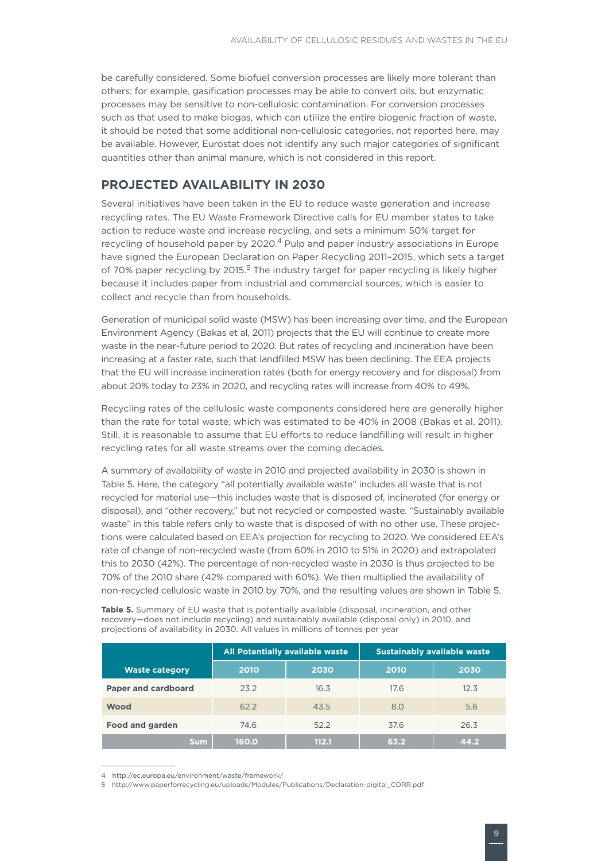<span id="page-10-0"></span>be carefully considered. Some biofuel conversion processes are likely more tolerant than others; for example, gasification processes may be able to convert oils, but enzymatic processes may be sensitive to non-cellulosic contamination. For conversion processes such as that used to make biogas, which can utilize the entire biogenic fraction of waste, it should be noted that some additional non-cellulosic categories, not reported here, may be available. However, Eurostat does not identify any such major categories of significant quantities other than animal manure, which is not considered in this report.

#### **Projected availability in 2030**

Several initiatives have been taken in the EU to reduce waste generation and increase recycling rates. The EU Waste Framework Directive calls for EU member states to take action to reduce waste and increase recycling, and sets a minimum 50% target for recycling of household paper by 2020.4 Pulp and paper industry associations in Europe have signed the European Declaration on Paper Recycling 2011–2015, which sets a target of 70% paper recycling by 2015.<sup>5</sup> The industry target for paper recycling is likely higher because it includes paper from industrial and commercial sources, which is easier to collect and recycle than from households.

Generation of municipal solid waste (MSW) has been increasing over time, and the European Environment Agency (Bakas et al, 2011) projects that the EU will continue to create more waste in the near-future period to 2020. But rates of recycling and incineration have been increasing at a faster rate, such that landfilled MSW has been declining. The EEA projects that the EU will increase incineration rates (both for energy recovery and for disposal) from about 20% today to 23% in 2020, and recycling rates will increase from 40% to 49%.

Recycling rates of the cellulosic waste components considered here are generally higher than the rate for total waste, which was estimated to be 40% in 2008 (Bakas et al, 2011). Still, it is reasonable to assume that EU efforts to reduce landfilling will result in higher recycling rates for all waste streams over the coming decades.

A summary of availability of waste in 2010 and projected availability in 2030 is shown in Table 5. Here, the category "all potentially available waste" includes all waste that is not recycled for material use—this includes waste that is disposed of, incinerated (for energy or disposal), and "other recovery," but not recycled or composted waste. "Sustainably available waste" in this table refers only to waste that is disposed of with no other use. These projections were calculated based on EEA's projection for recycling to 2020. We considered EEA's rate of change of non-recycled waste (from 60% in 2010 to 51% in 2020) and extrapolated this to 2030 (42%). The percentage of non-recycled waste in 2030 is thus projected to be 70% of the 2010 share (42% compared with 60%). We then multiplied the availability of non-recycled cellulosic waste in 2010 by 70%, and the resulting values are shown in Table 5.

Table 5. Summary of EU waste that is potentially available (disposal, incineration, and other recovery—does not include recycling) and sustainably available (disposal only) in 2010, and projections of availability in 2030. All values in millions of tonnes per year

|                            |       | All Potentially available waste |      | <b>Sustainably available waste</b> |
|----------------------------|-------|---------------------------------|------|------------------------------------|
| <b>Waste category</b>      | 2010  | 2030                            | 2010 | 2030                               |
| <b>Paper and cardboard</b> | 23.2  | 16.3                            | 17.6 | 12.3                               |
| <b>Wood</b>                | 62.2  | 43.5                            | 8.0  | 5.6                                |
| <b>Food and garden</b>     | 74.6  | 52.2                            | 37.6 | 26.3                               |
| <b>Sum</b>                 | 160.0 | 112.1                           | 63.2 | 44.2                               |

<sup>4</sup> http://ec.europa.eu/environment/waste/framework/

<sup>5</sup> http://www.paperforrecycling.eu/uploads/Modules/Publications/Declaration-digital\_CORR.pdf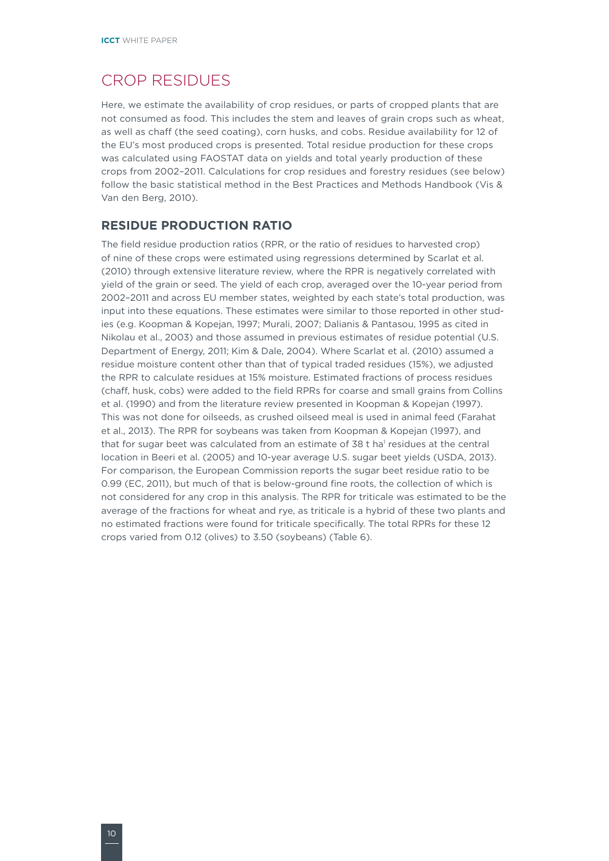## <span id="page-11-0"></span>Crop residues

Here, we estimate the availability of crop residues, or parts of cropped plants that are not consumed as food. This includes the stem and leaves of grain crops such as wheat, as well as chaff (the seed coating), corn husks, and cobs. Residue availability for 12 of the EU's most produced crops is presented. Total residue production for these crops was calculated using FAOSTAT data on yields and total yearly production of these crops from 2002–2011. Calculations for crop residues and forestry residues (see below) follow the basic statistical method in the Best Practices and Methods Handbook (Vis & Van den Berg, 2010).

#### **Residue production ratio**

The field residue production ratios (RPR, or the ratio of residues to harvested crop) of nine of these crops were estimated using regressions determined by Scarlat et al. (2010) through extensive literature review, where the RPR is negatively correlated with yield of the grain or seed. The yield of each crop, averaged over the 10-year period from 2002–2011 and across EU member states, weighted by each state's total production, was input into these equations. These estimates were similar to those reported in other studies (e.g. Koopman & Kopejan, 1997; Murali, 2007; Dalianis & Pantasou, 1995 as cited in Nikolau et al., 2003) and those assumed in previous estimates of residue potential (U.S. Department of Energy, 2011; Kim & Dale, 2004). Where Scarlat et al. (2010) assumed a residue moisture content other than that of typical traded residues (15%), we adjusted the RPR to calculate residues at 15% moisture. Estimated fractions of process residues (chaff, husk, cobs) were added to the field RPRs for coarse and small grains from Collins et al. (1990) and from the literature review presented in Koopman & Kopejan (1997). This was not done for oilseeds, as crushed oilseed meal is used in animal feed (Farahat et al., 2013). The RPR for soybeans was taken from Koopman & Kopejan (1997), and that for sugar beet was calculated from an estimate of 38 t ha' residues at the central location in Beeri et al. (2005) and 10-year average U.S. sugar beet yields (USDA, 2013). For comparison, the European Commission reports the sugar beet residue ratio to be 0.99 (EC, 2011), but much of that is below-ground fine roots, the collection of which is not considered for any crop in this analysis. The RPR for triticale was estimated to be the average of the fractions for wheat and rye, as triticale is a hybrid of these two plants and no estimated fractions were found for triticale specifically. The total RPRs for these 12 crops varied from 0.12 (olives) to 3.50 (soybeans) (Table 6).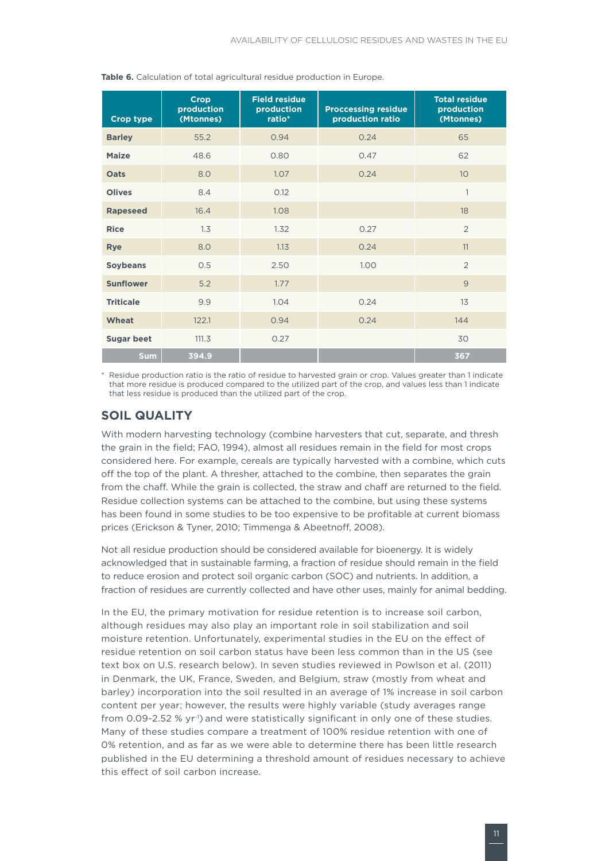| <b>Crop type</b>  | <b>Crop</b><br>production<br>(Mtonnes) | <b>Field residue</b><br>production<br>ratio* | <b>Proccessing residue</b><br>production ratio | <b>Total residue</b><br>production<br>(Mtonnes) |
|-------------------|----------------------------------------|----------------------------------------------|------------------------------------------------|-------------------------------------------------|
| <b>Barley</b>     | 55.2                                   | 0.94                                         | 0.24                                           | 65                                              |
| <b>Maize</b>      | 48.6                                   | 0.80                                         | 0.47                                           | 62                                              |
| Oats              | 8.0                                    | 1.07                                         | 0.24                                           | 10 <sup>°</sup>                                 |
| <b>Olives</b>     | 8.4                                    | 0.12                                         |                                                | 1                                               |
| <b>Rapeseed</b>   | 16.4                                   | 1.08                                         |                                                | 18                                              |
| <b>Rice</b>       | 1.3                                    | 1.32                                         | 0.27                                           | $\overline{2}$                                  |
| <b>Rye</b>        | 8.0                                    | 1.13                                         | 0.24                                           | 11                                              |
| <b>Soybeans</b>   | 0.5                                    | 2.50                                         | 1.00                                           | $\overline{2}$                                  |
| <b>Sunflower</b>  | 5.2                                    | 1.77                                         |                                                | 9                                               |
| <b>Triticale</b>  | 9.9                                    | 1.04                                         | 0.24                                           | 13                                              |
| Wheat             | 122.1                                  | 0.94                                         | 0.24                                           | 144                                             |
| <b>Sugar beet</b> | 111.3                                  | 0.27                                         |                                                | 30                                              |
| <b>Sum</b>        | 394.9                                  |                                              |                                                | 367                                             |

<span id="page-12-0"></span>**Table 6.** Calculation of total agricultural residue production in Europe.

\* Residue production ratio is the ratio of residue to harvested grain or crop. Values greater than 1 indicate that more residue is produced compared to the utilized part of the crop, and values less than 1 indicate that less residue is produced than the utilized part of the crop.

#### **Soil quality**

With modern harvesting technology (combine harvesters that cut, separate, and thresh the grain in the field; FAO, 1994), almost all residues remain in the field for most crops considered here. For example, cereals are typically harvested with a combine, which cuts off the top of the plant. A thresher, attached to the combine, then separates the grain from the chaff. While the grain is collected, the straw and chaff are returned to the field. Residue collection systems can be attached to the combine, but using these systems has been found in some studies to be too expensive to be profitable at current biomass prices (Erickson & Tyner, 2010; Timmenga & Abeetnoff, 2008).

Not all residue production should be considered available for bioenergy. It is widely acknowledged that in sustainable farming, a fraction of residue should remain in the field to reduce erosion and protect soil organic carbon (SOC) and nutrients. In addition, a fraction of residues are currently collected and have other uses, mainly for animal bedding.

In the EU, the primary motivation for residue retention is to increase soil carbon, although residues may also play an important role in soil stabilization and soil moisture retention. Unfortunately, experimental studies in the EU on the effect of residue retention on soil carbon status have been less common than in the US (see text box on U.S. research below). In seven studies reviewed in Powlson et al. (2011) in Denmark, the UK, France, Sweden, and Belgium, straw (mostly from wheat and barley) incorporation into the soil resulted in an average of 1% increase in soil carbon content per year; however, the results were highly variable (study averages range from 0.09-2.52 % yr<sup>-1</sup>) and were statistically significant in only one of these studies. Many of these studies compare a treatment of 100% residue retention with one of 0% retention, and as far as we were able to determine there has been little research published in the EU determining a threshold amount of residues necessary to achieve this effect of soil carbon increase.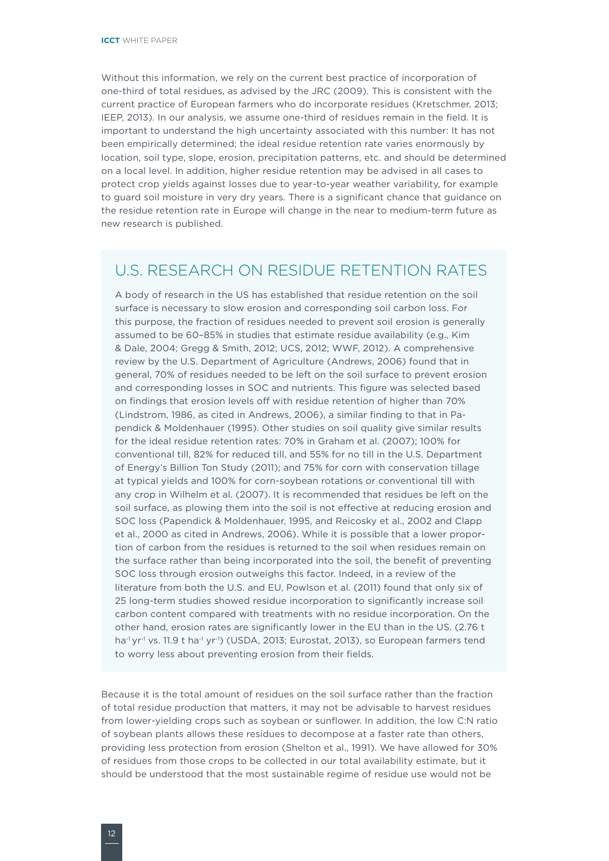Without this information, we rely on the current best practice of incorporation of one-third of total residues, as advised by the JRC (2009). This is consistent with the current practice of European farmers who do incorporate residues (Kretschmer, 2013; IEEP, 2013). In our analysis, we assume one-third of residues remain in the field. It is important to understand the high uncertainty associated with this number: It has not been empirically determined; the ideal residue retention rate varies enormously by location, soil type, slope, erosion, precipitation patterns, etc. and should be determined on a local level. In addition, higher residue retention may be advised in all cases to protect crop yields against losses due to year-to-year weather variability, for example to guard soil moisture in very dry years. There is a significant chance that guidance on the residue retention rate in Europe will change in the near to medium-term future as new research is published.

#### U.S. research on residue retention rates

A body of research in the US has established that residue retention on the soil surface is necessary to slow erosion and corresponding soil carbon loss. For this purpose, the fraction of residues needed to prevent soil erosion is generally assumed to be 60–85% in studies that estimate residue availability (e.g., Kim & Dale, 2004; Gregg & Smith, 2012; UCS, 2012; WWF, 2012). A comprehensive review by the U.S. Department of Agriculture (Andrews, 2006) found that in general, 70% of residues needed to be left on the soil surface to prevent erosion and corresponding losses in SOC and nutrients. This figure was selected based on findings that erosion levels off with residue retention of higher than 70% (Lindstrom, 1986, as cited in Andrews, 2006), a similar finding to that in Papendick & Moldenhauer (1995). Other studies on soil quality give similar results for the ideal residue retention rates: 70% in Graham et al. (2007); 100% for conventional till, 82% for reduced till, and 55% for no till in the U.S. Department of Energy's Billion Ton Study (2011); and 75% for corn with conservation tillage at typical yields and 100% for corn-soybean rotations or conventional till with any crop in Wilhelm et al. (2007). It is recommended that residues be left on the soil surface, as plowing them into the soil is not effective at reducing erosion and SOC loss (Papendick & Moldenhauer, 1995, and Reicosky et al., 2002 and Clapp et al., 2000 as cited in Andrews, 2006). While it is possible that a lower proportion of carbon from the residues is returned to the soil when residues remain on the surface rather than being incorporated into the soil, the benefit of preventing SOC loss through erosion outweighs this factor. Indeed, in a review of the literature from both the U.S. and EU, Powlson et al. (2011) found that only six of 25 long-term studies showed residue incorporation to significantly increase soil carbon content compared with treatments with no residue incorporation. On the other hand, erosion rates are significantly lower in the EU than in the US. (2.76 t ha<sup>-1</sup> yr<sup>-1</sup> vs. 11.9 t ha<sup>-1</sup> yr<sup>-1</sup>) (USDA, 2013; Eurostat, 2013), so European farmers tend to worry less about preventing erosion from their fields.

Because it is the total amount of residues on the soil surface rather than the fraction of total residue production that matters, it may not be advisable to harvest residues from lower-yielding crops such as soybean or sunflower. In addition, the low C:N ratio of soybean plants allows these residues to decompose at a faster rate than others, providing less protection from erosion (Shelton et al., 1991). We have allowed for 30% of residues from those crops to be collected in our total availability estimate, but it should be understood that the most sustainable regime of residue use would not be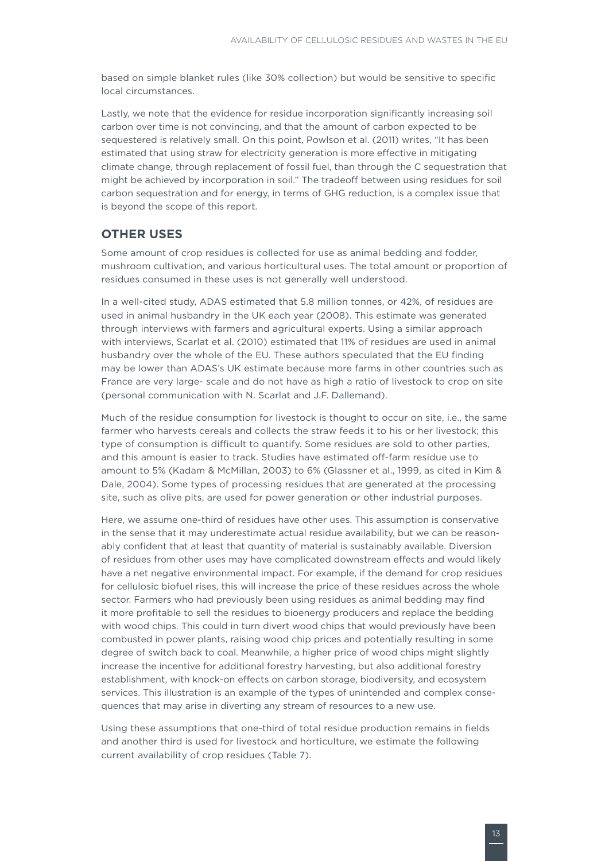<span id="page-14-0"></span>based on simple blanket rules (like 30% collection) but would be sensitive to specific local circumstances.

Lastly, we note that the evidence for residue incorporation significantly increasing soil carbon over time is not convincing, and that the amount of carbon expected to be sequestered is relatively small. On this point, Powlson et al. (2011) writes, "It has been estimated that using straw for electricity generation is more effective in mitigating climate change, through replacement of fossil fuel, than through the C sequestration that might be achieved by incorporation in soil." The tradeoff between using residues for soil carbon sequestration and for energy, in terms of GHG reduction, is a complex issue that is beyond the scope of this report.

#### **Other uses**

Some amount of crop residues is collected for use as animal bedding and fodder, mushroom cultivation, and various horticultural uses. The total amount or proportion of residues consumed in these uses is not generally well understood.

In a well-cited study, ADAS estimated that 5.8 million tonnes, or 42%, of residues are used in animal husbandry in the UK each year (2008). This estimate was generated through interviews with farmers and agricultural experts. Using a similar approach with interviews, Scarlat et al. (2010) estimated that 11% of residues are used in animal husbandry over the whole of the EU. These authors speculated that the EU finding may be lower than ADAS's UK estimate because more farms in other countries such as France are very large- scale and do not have as high a ratio of livestock to crop on site (personal communication with N. Scarlat and J.F. Dallemand).

Much of the residue consumption for livestock is thought to occur on site, i.e., the same farmer who harvests cereals and collects the straw feeds it to his or her livestock; this type of consumption is difficult to quantify. Some residues are sold to other parties, and this amount is easier to track. Studies have estimated off-farm residue use to amount to 5% (Kadam & McMillan, 2003) to 6% (Glassner et al., 1999, as cited in Kim & Dale, 2004). Some types of processing residues that are generated at the processing site, such as olive pits, are used for power generation or other industrial purposes.

Here, we assume one-third of residues have other uses. This assumption is conservative in the sense that it may underestimate actual residue availability, but we can be reasonably confident that at least that quantity of material is sustainably available. Diversion of residues from other uses may have complicated downstream effects and would likely have a net negative environmental impact. For example, if the demand for crop residues for cellulosic biofuel rises, this will increase the price of these residues across the whole sector. Farmers who had previously been using residues as animal bedding may find it more profitable to sell the residues to bioenergy producers and replace the bedding with wood chips. This could in turn divert wood chips that would previously have been combusted in power plants, raising wood chip prices and potentially resulting in some degree of switch back to coal. Meanwhile, a higher price of wood chips might slightly increase the incentive for additional forestry harvesting, but also additional forestry establishment, with knock-on effects on carbon storage, biodiversity, and ecosystem services. This illustration is an example of the types of unintended and complex consequences that may arise in diverting any stream of resources to a new use.

Using these assumptions that one-third of total residue production remains in fields and another third is used for livestock and horticulture, we estimate the following current availability of crop residues (Table 7).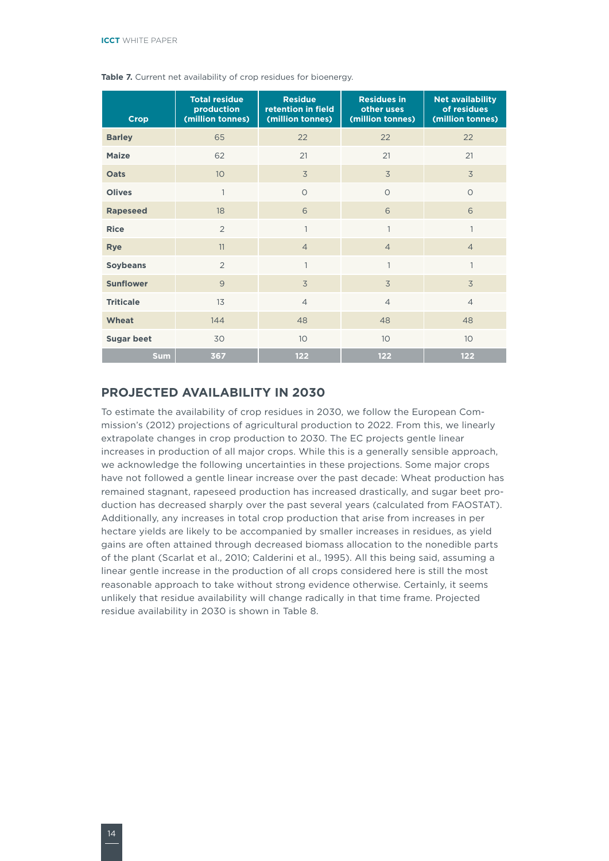| <b>Crop</b>       | <b>Total residue</b><br>production<br>(million tonnes) | <b>Residue</b><br>retention in field<br>(million tonnes) | <b>Residues in</b><br>other uses<br>(million tonnes) | <b>Net availability</b><br>of residues<br>(million tonnes) |
|-------------------|--------------------------------------------------------|----------------------------------------------------------|------------------------------------------------------|------------------------------------------------------------|
| <b>Barley</b>     | 65                                                     | 22                                                       | 22                                                   | 22                                                         |
| <b>Maize</b>      | 62                                                     | 21                                                       | 21                                                   | 21                                                         |
| <b>Oats</b>       | 10                                                     | 3                                                        | 3                                                    | $\overline{3}$                                             |
| <b>Olives</b>     | $\mathbf{1}$                                           | $\circ$                                                  | $\circ$                                              | $\circ$                                                    |
| <b>Rapeseed</b>   | 18                                                     | 6                                                        | 6                                                    | 6                                                          |
| <b>Rice</b>       | $\overline{2}$                                         | 1                                                        | $\mathbf{1}$                                         | $\mathbf{1}$                                               |
| <b>Rye</b>        | 11                                                     | $\overline{4}$                                           | $\overline{4}$                                       | $\overline{4}$                                             |
| <b>Soybeans</b>   | $\overline{2}$                                         | $\mathbf{1}$                                             | 1                                                    | $\mathbf{1}$                                               |
| <b>Sunflower</b>  | 9                                                      | 3                                                        | 3                                                    | 3                                                          |
| <b>Triticale</b>  | 13                                                     | $\overline{4}$                                           | $\overline{4}$                                       | $\overline{4}$                                             |
| <b>Wheat</b>      | 144                                                    | 48                                                       | 48                                                   | 48                                                         |
| <b>Sugar beet</b> | 30                                                     | 10 <sup>°</sup>                                          | 10                                                   | 10                                                         |
| <b>Sum</b>        | 367                                                    | 122                                                      | 122                                                  | 122                                                        |

<span id="page-15-0"></span>Table 7. Current net availability of crop residues for bioenergy.

#### **Projected availability in 2030**

To estimate the availability of crop residues in 2030, we follow the European Commission's (2012) projections of agricultural production to 2022. From this, we linearly extrapolate changes in crop production to 2030. The EC projects gentle linear increases in production of all major crops. While this is a generally sensible approach, we acknowledge the following uncertainties in these projections. Some major crops have not followed a gentle linear increase over the past decade: Wheat production has remained stagnant, rapeseed production has increased drastically, and sugar beet production has decreased sharply over the past several years (calculated from FAOSTAT). Additionally, any increases in total crop production that arise from increases in per hectare yields are likely to be accompanied by smaller increases in residues, as yield gains are often attained through decreased biomass allocation to the nonedible parts of the plant (Scarlat et al., 2010; Calderini et al., 1995). All this being said, assuming a linear gentle increase in the production of all crops considered here is still the most reasonable approach to take without strong evidence otherwise. Certainly, it seems unlikely that residue availability will change radically in that time frame. Projected residue availability in 2030 is shown in Table 8.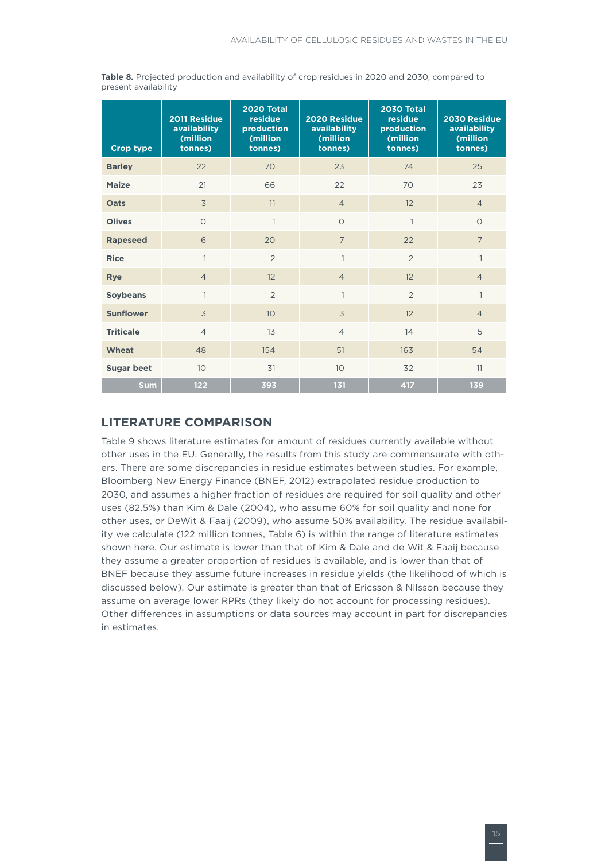<span id="page-16-0"></span>**Table 8.** Projected production and availability of crop residues in 2020 and 2030, compared to present availability

| <b>Crop type</b>  | 2011 Residue<br>availability<br>(million<br>tonnes) | 2020 Total<br>residue<br>production<br>(million<br>tonnes) | 2020 Residue<br>availability<br>(million<br>tonnes) | <b>2030 Total</b><br>residue<br>production<br>(million<br>tonnes) | 2030 Residue<br><b>availability</b><br>(million<br>tonnes) |
|-------------------|-----------------------------------------------------|------------------------------------------------------------|-----------------------------------------------------|-------------------------------------------------------------------|------------------------------------------------------------|
| <b>Barley</b>     | 22                                                  | 70                                                         | 23                                                  | 74                                                                | 25                                                         |
| <b>Maize</b>      | 21                                                  | 66                                                         | 22                                                  | 70                                                                | 23                                                         |
| <b>Oats</b>       | 3                                                   | 11                                                         | $\overline{4}$                                      | 12                                                                | $\overline{4}$                                             |
| <b>Olives</b>     | $\circ$                                             | 1                                                          | $\circ$                                             | 1                                                                 | $\Omega$                                                   |
| <b>Rapeseed</b>   | 6                                                   | 20                                                         | $\overline{7}$                                      | 22                                                                | $\overline{7}$                                             |
| <b>Rice</b>       | $\mathbf{1}$                                        | $\overline{2}$                                             | $\mathbf{1}$                                        | $\overline{2}$                                                    | $\mathbf{1}$                                               |
| <b>Rye</b>        | $\overline{4}$                                      | 12                                                         | $\overline{4}$                                      | 12                                                                | $\overline{4}$                                             |
| <b>Soybeans</b>   | 1                                                   | $\overline{2}$                                             | $\mathbf{1}$                                        | $\overline{2}$                                                    | $\mathbf{1}$                                               |
| <b>Sunflower</b>  | 3                                                   | 10                                                         | 3                                                   | 12                                                                | $\overline{4}$                                             |
| <b>Triticale</b>  | $\overline{4}$                                      | 13                                                         | $\overline{4}$                                      | 14                                                                | 5                                                          |
| <b>Wheat</b>      | 48                                                  | 154                                                        | 51                                                  | 163                                                               | 54                                                         |
| <b>Sugar beet</b> | 10                                                  | 31                                                         | 10                                                  | 32                                                                | 11                                                         |
| <b>Sum</b>        | 122                                                 | 393                                                        | 131                                                 | 417                                                               | 139                                                        |

#### **Literature comparison**

Table 9 shows literature estimates for amount of residues currently available without other uses in the EU. Generally, the results from this study are commensurate with others. There are some discrepancies in residue estimates between studies. For example, Bloomberg New Energy Finance (BNEF, 2012) extrapolated residue production to 2030, and assumes a higher fraction of residues are required for soil quality and other uses (82.5%) than Kim & Dale (2004), who assume 60% for soil quality and none for other uses, or DeWit & Faaij (2009), who assume 50% availability. The residue availability we calculate (122 million tonnes, Table 6) is within the range of literature estimates shown here. Our estimate is lower than that of Kim & Dale and de Wit & Faaij because they assume a greater proportion of residues is available, and is lower than that of BNEF because they assume future increases in residue yields (the likelihood of which is discussed below). Our estimate is greater than that of Ericsson & Nilsson because they assume on average lower RPRs (they likely do not account for processing residues). Other differences in assumptions or data sources may account in part for discrepancies in estimates.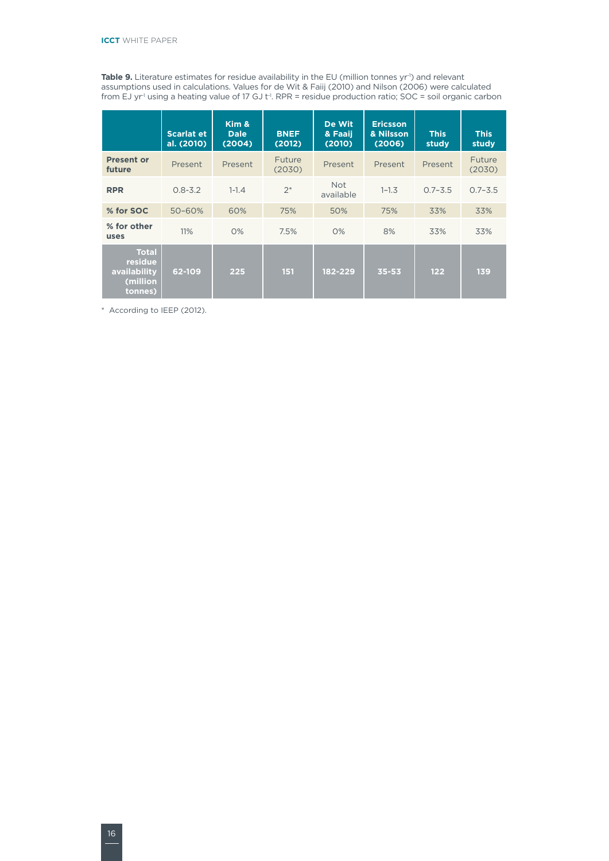**Table 9.** Literature estimates for residue availability in the EU (million tonnes yr<sup>-1</sup>) and relevant assumptions used in calculations. Values for de Wit & Faiij (2010) and Nilson (2006) were calculated from EJ yr<sup>-1</sup> using a heating value of 17 GJ t<sup>-1</sup>. RPR = residue production ratio; SOC = soil organic carbon

|                                                                | <b>Scarlat et</b><br>al. (2010) | Kim &<br><b>Dale</b><br>(2004) | <b>BNEF</b><br>(2012)   | De Wit<br>& Faaii<br>(2010) | <b>Ericsson</b><br>& Nilsson<br>(2006) | <b>This</b><br>study | <b>This</b><br>study |
|----------------------------------------------------------------|---------------------------------|--------------------------------|-------------------------|-----------------------------|----------------------------------------|----------------------|----------------------|
| <b>Present or</b><br>future                                    | Present                         | Present                        | <b>Future</b><br>(2030) | Present                     | Present                                | Present              | Future<br>(2030)     |
| <b>RPR</b>                                                     | $0.8 - 3.2$                     | $1 - 1.4$                      | $2*$                    | <b>Not</b><br>available     | $1 - 1.3$                              | $0.7 - 3.5$          | $0.7 - 3.5$          |
| % for SOC                                                      | $50 - 60%$                      | 60%                            | 75%                     | 50%                         | 75%                                    | 33%                  | 33%                  |
| % for other<br>uses                                            | 11%                             | O%                             | 7.5%                    | O%                          | 8%                                     | 33%                  | 33%                  |
| <b>Total</b><br>residue<br>availability<br>(million<br>tonnes) | 62-109                          | 225                            | 151                     | 182-229                     | $35 - 53$                              | 122                  | 139                  |

\* According to IEEP (2012).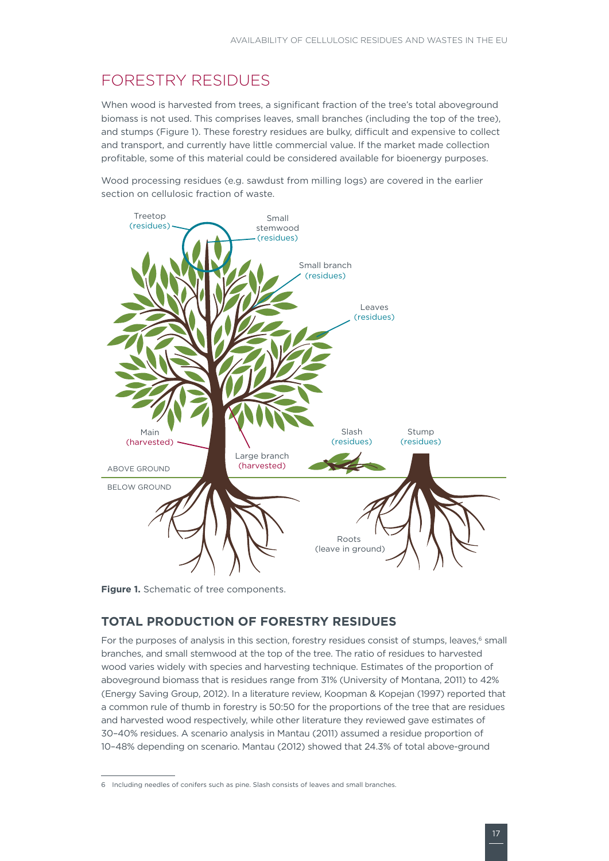## <span id="page-18-0"></span>Forestry residues

When wood is harvested from trees, a significant fraction of the tree's total aboveground biomass is not used. This comprises leaves, small branches (including the top of the tree), and stumps (Figure 1). These forestry residues are bulky, difficult and expensive to collect and transport, and currently have little commercial value. If the market made collection profitable, some of this material could be considered available for bioenergy purposes.

Wood processing residues (e.g. sawdust from milling logs) are covered in the earlier section on cellulosic fraction of waste.



**Figure 1.** Schematic of tree components.

#### **Total production of forestry residues**

For the purposes of analysis in this section, forestry residues consist of stumps, leaves,<sup>6</sup> small branches, and small stemwood at the top of the tree. The ratio of residues to harvested wood varies widely with species and harvesting technique. Estimates of the proportion of aboveground biomass that is residues range from 31% (University of Montana, 2011) to 42% (Energy Saving Group, 2012). In a literature review, Koopman & Kopejan (1997) reported that a common rule of thumb in forestry is 50:50 for the proportions of the tree that are residues and harvested wood respectively, while other literature they reviewed gave estimates of 30–40% residues. A scenario analysis in Mantau (2011) assumed a residue proportion of 10–48% depending on scenario. Mantau (2012) showed that 24.3% of total above-ground

<sup>6</sup> Including needles of conifers such as pine. Slash consists of leaves and small branches.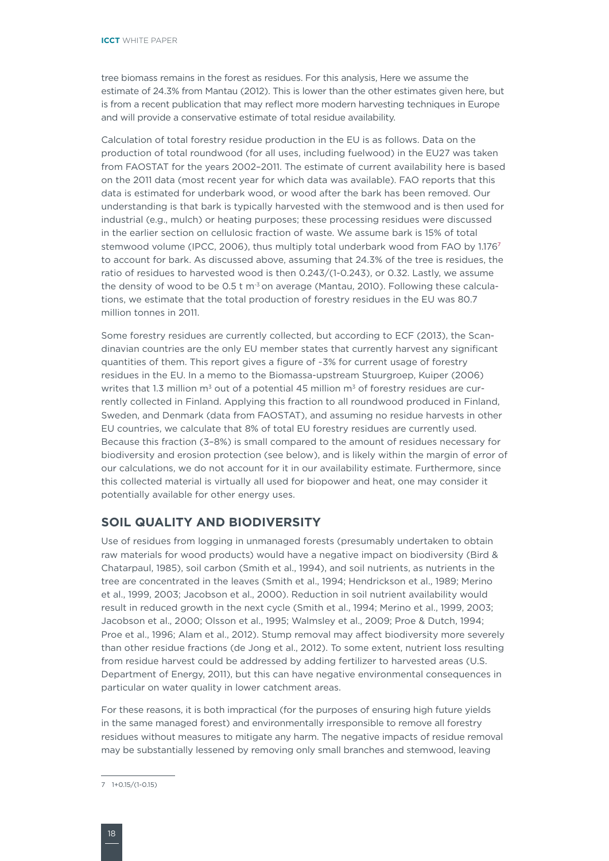<span id="page-19-0"></span>tree biomass remains in the forest as residues. For this analysis, Here we assume the estimate of 24.3% from Mantau (2012). This is lower than the other estimates given here, but is from a recent publication that may reflect more modern harvesting techniques in Europe and will provide a conservative estimate of total residue availability.

Calculation of total forestry residue production in the EU is as follows. Data on the production of total roundwood (for all uses, including fuelwood) in the EU27 was taken from FAOSTAT for the years 2002–2011. The estimate of current availability here is based on the 2011 data (most recent year for which data was available). FAO reports that this data is estimated for underbark wood, or wood after the bark has been removed. Our understanding is that bark is typically harvested with the stemwood and is then used for industrial (e.g., mulch) or heating purposes; these processing residues were discussed in the earlier section on cellulosic fraction of waste. We assume bark is 15% of total stemwood volume (IPCC, 2006), thus multiply total underbark wood from FAO by 1.1767 to account for bark. As discussed above, assuming that 24.3% of the tree is residues, the ratio of residues to harvested wood is then 0.243/(1-0.243), or 0.32. Lastly, we assume the density of wood to be  $0.5 t$  m<sup>3</sup> on average (Mantau, 2010). Following these calculations, we estimate that the total production of forestry residues in the EU was 80.7 million tonnes in 2011.

Some forestry residues are currently collected, but according to ECF (2013), the Scandinavian countries are the only EU member states that currently harvest any significant quantities of them. This report gives a figure of ~3% for current usage of forestry residues in the EU. In a memo to the Biomassa-upstream Stuurgroep, Kuiper (2006) writes that 1.3 million  $m^3$  out of a potential 45 million  $m^3$  of forestry residues are currently collected in Finland. Applying this fraction to all roundwood produced in Finland, Sweden, and Denmark (data from FAOSTAT), and assuming no residue harvests in other EU countries, we calculate that 8% of total EU forestry residues are currently used. Because this fraction (3–8%) is small compared to the amount of residues necessary for biodiversity and erosion protection (see below), and is likely within the margin of error of our calculations, we do not account for it in our availability estimate. Furthermore, since this collected material is virtually all used for biopower and heat, one may consider it potentially available for other energy uses.

#### **Soil quality and biodiversity**

Use of residues from logging in unmanaged forests (presumably undertaken to obtain raw materials for wood products) would have a negative impact on biodiversity (Bird & Chatarpaul, 1985), soil carbon (Smith et al., 1994), and soil nutrients, as nutrients in the tree are concentrated in the leaves (Smith et al., 1994; Hendrickson et al., 1989; Merino et al., 1999, 2003; Jacobson et al., 2000). Reduction in soil nutrient availability would result in reduced growth in the next cycle (Smith et al., 1994; Merino et al., 1999, 2003; Jacobson et al., 2000; Olsson et al., 1995; Walmsley et al., 2009; Proe & Dutch, 1994; Proe et al., 1996; Alam et al., 2012). Stump removal may affect biodiversity more severely than other residue fractions (de Jong et al., 2012). To some extent, nutrient loss resulting from residue harvest could be addressed by adding fertilizer to harvested areas (U.S. Department of Energy, 2011), but this can have negative environmental consequences in particular on water quality in lower catchment areas.

For these reasons, it is both impractical (for the purposes of ensuring high future yields in the same managed forest) and environmentally irresponsible to remove all forestry residues without measures to mitigate any harm. The negative impacts of residue removal may be substantially lessened by removing only small branches and stemwood, leaving

<sup>7 1+0.15/(1-0.15)</sup>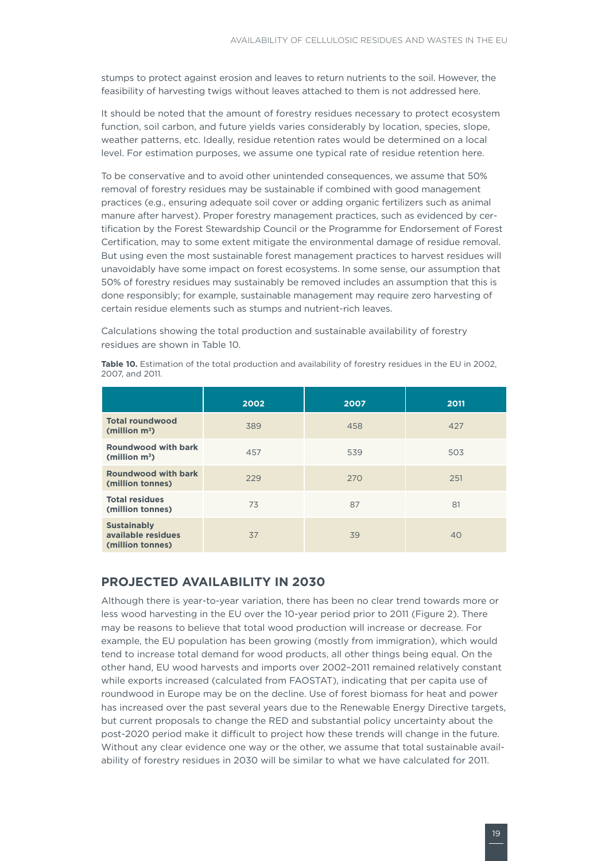<span id="page-20-0"></span>stumps to protect against erosion and leaves to return nutrients to the soil. However, the feasibility of harvesting twigs without leaves attached to them is not addressed here.

It should be noted that the amount of forestry residues necessary to protect ecosystem function, soil carbon, and future yields varies considerably by location, species, slope, weather patterns, etc. Ideally, residue retention rates would be determined on a local level. For estimation purposes, we assume one typical rate of residue retention here.

To be conservative and to avoid other unintended consequences, we assume that 50% removal of forestry residues may be sustainable if combined with good management practices (e.g., ensuring adequate soil cover or adding organic fertilizers such as animal manure after harvest). Proper forestry management practices, such as evidenced by certification by the Forest Stewardship Council or the Programme for Endorsement of Forest Certification, may to some extent mitigate the environmental damage of residue removal. But using even the most sustainable forest management practices to harvest residues will unavoidably have some impact on forest ecosystems. In some sense, our assumption that 50% of forestry residues may sustainably be removed includes an assumption that this is done responsibly; for example, sustainable management may require zero harvesting of certain residue elements such as stumps and nutrient-rich leaves.

Calculations showing the total production and sustainable availability of forestry residues are shown in Table 10.

|                                                              | 2002 | 2007 | 2011 |
|--------------------------------------------------------------|------|------|------|
| <b>Total roundwood</b><br>(million $m^3$ )                   | 389  | 458  | 427  |
| Roundwood with bark<br>(million $m^3$ )                      | 457  | 539  | 503  |
| <b>Roundwood with bark</b><br>(million tonnes)               | 229  | 270  | 251  |
| <b>Total residues</b><br>(million tonnes)                    | 73   | 87   | 81   |
| <b>Sustainably</b><br>available residues<br>(million tonnes) | 37   | 39   | 40   |

**Table 10.** Estimation of the total production and availability of forestry residues in the EU in 2002, 2007, and 2011.

#### **Projected availability in 2030**

Although there is year-to-year variation, there has been no clear trend towards more or less wood harvesting in the EU over the 10-year period prior to 2011 (Figure 2). There may be reasons to believe that total wood production will increase or decrease. For example, the EU population has been growing (mostly from immigration), which would tend to increase total demand for wood products, all other things being equal. On the other hand, EU wood harvests and imports over 2002–2011 remained relatively constant while exports increased (calculated from FAOSTAT), indicating that per capita use of roundwood in Europe may be on the decline. Use of forest biomass for heat and power has increased over the past several years due to the Renewable Energy Directive targets, but current proposals to change the RED and substantial policy uncertainty about the post-2020 period make it difficult to project how these trends will change in the future. Without any clear evidence one way or the other, we assume that total sustainable availability of forestry residues in 2030 will be similar to what we have calculated for 2011.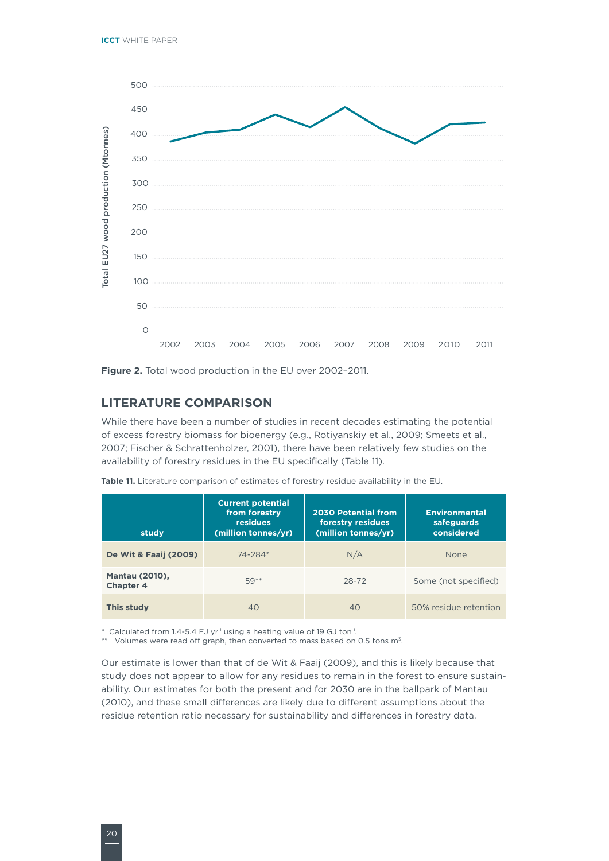<span id="page-21-0"></span>

**Figure 2.** Total wood production in the EU over 2002–2011.

#### **Literature comparison**

While there have been a number of studies in recent decades estimating the potential of excess forestry biomass for bioenergy (e.g., Rotiyanskiy et al., 2009; Smeets et al., 2007; Fischer & Schrattenholzer, 2001), there have been relatively few studies on the availability of forestry residues in the EU specifically (Table 11).

| study                                     | <b>Current potential</b><br>from forestry<br><b>residues</b><br>(million tonnes/yr) | <b>2030 Potential from</b><br>forestry residues<br>(million tonnes/vr) | <b>Environmental</b><br>safeguards<br>considered |
|-------------------------------------------|-------------------------------------------------------------------------------------|------------------------------------------------------------------------|--------------------------------------------------|
| De Wit & Faaij (2009)                     | $74 - 284*$                                                                         | N/A                                                                    | None                                             |
| <b>Mantau (2010),</b><br><b>Chapter 4</b> | 59**                                                                                | 28-72                                                                  | Some (not specified)                             |
| This study                                | 40                                                                                  | 40                                                                     | 50% residue retention                            |

Table 11. Literature comparison of estimates of forestry residue availability in the EU.

\* Calculated from 1.4-5.4 EJ yr-1 using a heating value of 19 GJ ton-1.

\*\* Volumes were read off graph, then converted to mass based on 0.5 tons m<sup>3</sup>.

Our estimate is lower than that of de Wit & Faaij (2009), and this is likely because that study does not appear to allow for any residues to remain in the forest to ensure sustainability. Our estimates for both the present and for 2030 are in the ballpark of Mantau (2010), and these small differences are likely due to different assumptions about the residue retention ratio necessary for sustainability and differences in forestry data.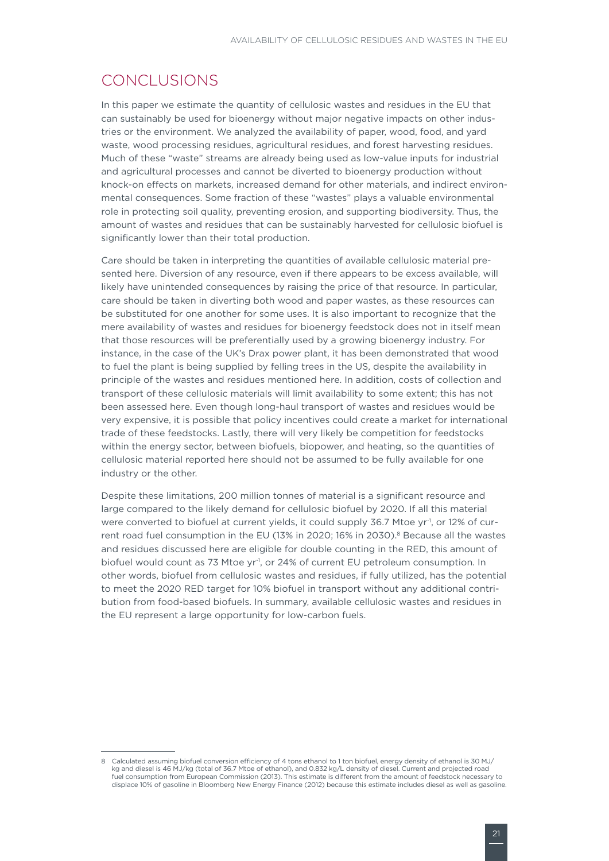### <span id="page-22-0"></span>Conclusions

In this paper we estimate the quantity of cellulosic wastes and residues in the EU that can sustainably be used for bioenergy without major negative impacts on other industries or the environment. We analyzed the availability of paper, wood, food, and yard waste, wood processing residues, agricultural residues, and forest harvesting residues. Much of these "waste" streams are already being used as low-value inputs for industrial and agricultural processes and cannot be diverted to bioenergy production without knock-on effects on markets, increased demand for other materials, and indirect environmental consequences. Some fraction of these "wastes" plays a valuable environmental role in protecting soil quality, preventing erosion, and supporting biodiversity. Thus, the amount of wastes and residues that can be sustainably harvested for cellulosic biofuel is significantly lower than their total production.

Care should be taken in interpreting the quantities of available cellulosic material presented here. Diversion of any resource, even if there appears to be excess available, will likely have unintended consequences by raising the price of that resource. In particular, care should be taken in diverting both wood and paper wastes, as these resources can be substituted for one another for some uses. It is also important to recognize that the mere availability of wastes and residues for bioenergy feedstock does not in itself mean that those resources will be preferentially used by a growing bioenergy industry. For instance, in the case of the UK's Drax power plant, it has been demonstrated that wood to fuel the plant is being supplied by felling trees in the US, despite the availability in principle of the wastes and residues mentioned here. In addition, costs of collection and transport of these cellulosic materials will limit availability to some extent; this has not been assessed here. Even though long-haul transport of wastes and residues would be very expensive, it is possible that policy incentives could create a market for international trade of these feedstocks. Lastly, there will very likely be competition for feedstocks within the energy sector, between biofuels, biopower, and heating, so the quantities of cellulosic material reported here should not be assumed to be fully available for one industry or the other.

Despite these limitations, 200 million tonnes of material is a significant resource and large compared to the likely demand for cellulosic biofuel by 2020. If all this material were converted to biofuel at current yields, it could supply 36.7 Mtoe yr<sup>1</sup>, or 12% of current road fuel consumption in the EU (13% in 2020; 16% in 2030).<sup>8</sup> Because all the wastes and residues discussed here are eligible for double counting in the RED, this amount of biofuel would count as 73 Mtoe yr<sup>-1</sup>, or 24% of current EU petroleum consumption. In other words, biofuel from cellulosic wastes and residues, if fully utilized, has the potential to meet the 2020 RED target for 10% biofuel in transport without any additional contribution from food-based biofuels. In summary, available cellulosic wastes and residues in the EU represent a large opportunity for low-carbon fuels.

<sup>8</sup> Calculated assuming biofuel conversion efficiency of 4 tons ethanol to 1 ton biofuel, energy density of ethanol is 30 MJ/ kg and diesel is 46 MJ/kg (total of 36.7 Mtoe of ethanol), and 0.832 kg/L density of diesel. Current and projected road fuel consumption from European Commission (2013). This estimate is different from the amount of feedstock necessary to displace 10% of gasoline in Bloomberg New Energy Finance (2012) because this estimate includes diesel as well as gasoline.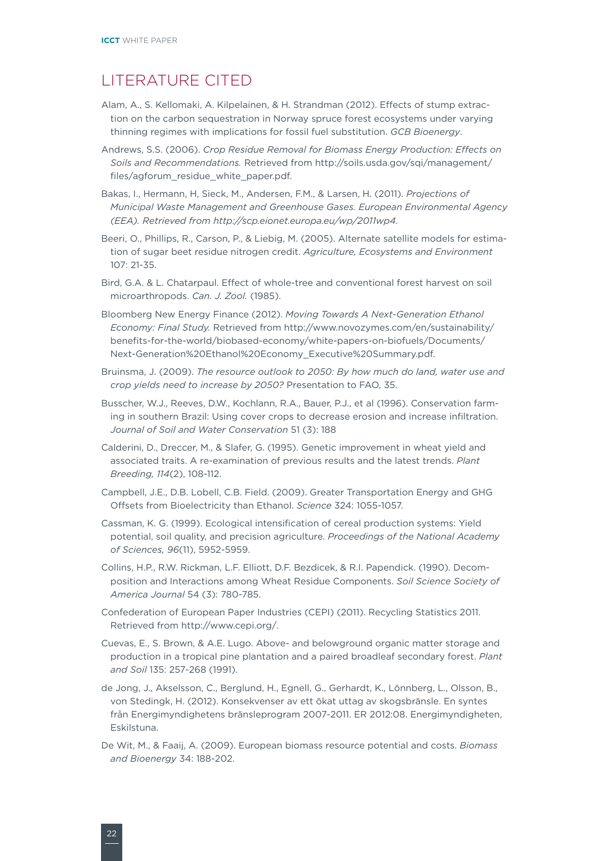### <span id="page-23-0"></span>Literature cited

- Alam, A., S. Kellomaki, A. Kilpelainen, & H. Strandman (2012). Effects of stump extraction on the carbon sequestration in Norway spruce forest ecosystems under varying thinning regimes with implications for fossil fuel substitution. *GCB Bioenergy*.
- Andrews, S.S. (2006). *Crop Residue Removal for Biomass Energy Production: Effects on Soils and Recommendations.* Retrieved from [http://soils.usda.gov/sqi/management/](http://soils.usda.gov/sqi/management/files/agforum_residue_white_paper.pdf) [files/agforum\\_residue\\_white\\_paper.pdf](http://soils.usda.gov/sqi/management/files/agforum_residue_white_paper.pdf).
- Bakas, I., Hermann, H, Sieck, M., Andersen, F.M., & Larsen, H. (2011). *Projections of Municipal Waste Management and Greenhouse Gases. European Environmental Agency (EEA). Retrieved from http://scp.eionet.europa.eu/wp/2011wp4.*
- Beeri, O., Phillips, R., Carson, P., & Liebig, M. (2005). Alternate satellite models for estimation of sugar beet residue nitrogen credit. *Agriculture, Ecosystems and Environment*  107: 21-35.
- Bird, G.A. & L. Chatarpaul. Effect of whole-tree and conventional forest harvest on soil microarthropods. *Can. J. Zool.* (1985).
- Bloomberg New Energy Finance (2012). *Moving Towards A Next-Generation Ethanol Economy: Final Study.* Retrieved from http://www.novozymes.com/en/sustainability/ benefits-for-the-world/biobased-economy/white-papers-on-biofuels/Documents/ Next-Generation%20Ethanol%20Economy\_Executive%20Summary.pdf.
- Bruinsma, J. (2009). *The resource outlook to 2050: By how much do land, water use and crop yields need to increase by 2050?* Presentation to FAO, 35.
- Busscher, W.J., Reeves, D.W., Kochlann, R.A., Bauer, P.J., et al (1996). Conservation farming in southern Brazil: Using cover crops to decrease erosion and increase infiltration. *Journal of Soil and Water Conservation* 51 (3): 188
- Calderini, D., Dreccer, M., & Slafer, G. (1995). Genetic improvement in wheat yield and associated traits. A re-examination of previous results and the latest trends. *Plant Breeding, 114*(2), 108-112.
- Campbell, J.E., D.B. Lobell, C.B. Field. (2009). Greater Transportation Energy and GHG Offsets from Bioelectricity than Ethanol. *Science* 324: 1055-1057.
- Cassman, K. G. (1999). Ecological intensification of cereal production systems: Yield potential, soil quality, and precision agriculture. *Proceedings of the National Academy of Sciences, 96*(11), 5952-5959.
- Collins, H.P., R.W. Rickman, L.F. Elliott, D.F. Bezdicek, & R.I. Papendick. (1990). Decomposition and Interactions among Wheat Residue Components. *Soil Science Society of America Journal* 54 (3): 780-785.
- Confederation of European Paper Industries (CEPI) (2011). Recycling Statistics 2011. Retrieved from http://www.cepi.org/.
- Cuevas, E., S. Brown, & A.E. Lugo. Above- and belowground organic matter storage and production in a tropical pine plantation and a paired broadleaf secondary forest. *Plant and Soil* 135: 257-268 (1991).
- de Jong, J., Akselsson, C., Berglund, H., Egnell, G., Gerhardt, K., Lönnberg, L., Olsson, B., von Stedingk, H. (2012). Konsekvenser av ett ökat uttag av skogsbränsle. En syntes från Energimyndighetens bränsleprogram 2007-2011. ER 2012:08. Energimyndigheten, Eskilstuna.
- De Wit, M., & Faaij, A. (2009). European biomass resource potential and costs. *Biomass and Bioenergy* 34: 188-202.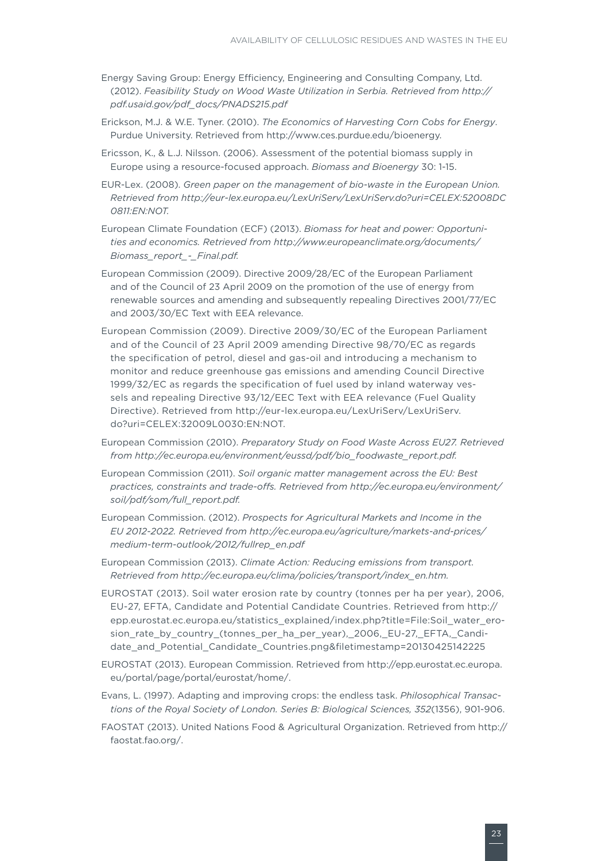- [Energy Saving Group: Energy Efficiency, Engineering and Consulting Company, Ltd.](http://pdf.usaid.gov/pdf_docs/PNADS215.pdf)  (2012). *[Feasibility Study on Wood Waste Utilization in Serbia. Retrieved from http://](http://pdf.usaid.gov/pdf_docs/PNADS215.pdf) [pdf.usaid.gov/pdf\\_docs/PNADS215.pdf](http://pdf.usaid.gov/pdf_docs/PNADS215.pdf)*
- Erickson, M.J. & W.E. Tyner. (2010). *The Economics of Harvesting Corn Cobs for Energy*. Purdue University. Retrieved from http://www.ces.purdue.edu/bioenergy.
- Ericsson, K., & L.J. Nilsson. (2006). Assessment of the potential biomass supply in Europe using a resource-focused approach. *Biomass and Bioenergy* 30: 1-15.
- EUR-Lex. (2008). *Green paper on the management of bio-waste in the European Union. Retrieved from http://eur-lex.europa.eu/LexUriServ/LexUriServ.do?uri=CELEX:52008DC 0811:EN:NOT.*

European Climate Foundation (ECF) (2013). *Biomass for heat and power: Opportunities and economics. Retrieved from http://www.europeanclimate.org/documents/ Biomass\_report\_-\_Final.pdf.*

- European Commission (2009). Directive 2009/28/EC of the European Parliament and of the Council of 23 April 2009 on the promotion of the use of energy from renewable sources and amending and subsequently repealing Directives 2001/77/EC and 2003/30/EC Text with EEA relevance.
- European Commission (2009). Directive 2009/30/EC of the European Parliament and of the Council of 23 April 2009 amending Directive 98/70/EC as regards the specification of petrol, diesel and gas-oil and introducing a mechanism to monitor and reduce greenhouse gas emissions and amending Council Directive 1999/32/EC as regards the specification of fuel used by inland waterway vessels and repealing Directive 93/12/EEC Text with EEA relevance (Fuel Quality Directive). Retrieved from http://eur-lex.europa.eu/LexUriServ/LexUriServ. do?uri=CELEX:32009L0030:EN:NOT.
- European Commission (2010). *Preparatory Study on Food Waste Across EU27. Retrieved from http://ec.europa.eu/environment/eussd/pdf/bio\_foodwaste\_report.pdf.*
- European Commission (2011). *Soil organic matter management across the EU: Best practices, constraints and trade-offs. Retrieved from http://ec.europa.eu/environment/ soil/pdf/som/full\_report.pdf.*
- European Commission. (2012). *Prospects for Agricultural Markets and Income in the EU 2012-2022. Retrieved from http://ec.europa.eu/agriculture/markets-and-prices/ medium-term-outlook/2012/fullrep\_en.pdf*
- European Commission (2013). *Climate Action: Reducing emissions from transport. Retrieved from http://ec.europa.eu/clima/policies/transport/index\_en.htm.*
- EUROSTAT (2013). Soil water erosion rate by country (tonnes per ha per year), 2006, EU-27, EFTA, Candidate and Potential Candidate Countries. Retrieved from http:// epp.eurostat.ec.europa.eu/statistics\_explained/index.php?title=File:Soil\_water\_erosion\_rate\_by\_country\_(tonnes\_per\_ha\_per\_year),\_2006,\_EU-27,\_EFTA,\_Candidate\_and\_Potential\_Candidate\_Countries.png&filetimestamp=20130425142225
- EUROSTAT (2013). European Commission. Retrieved from [http://epp.eurostat.ec.europa.](http://epp.eurostat.ec.europa.eu/portal/page/portal/eurostat/home/) [eu/portal/page/portal/eurostat/home/](http://epp.eurostat.ec.europa.eu/portal/page/portal/eurostat/home/).
- Evans, L. (1997). Adapting and improving crops: the endless task. *Philosophical Transactions of the Royal Society of London. Series B: Biological Sciences, 352*(1356), 901-906.
- [FAOSTAT \(2013\). United Nations Food & Agricultural Organization. Retrieved from http://](http://faostat.fao.org/) [faostat.fao.org/.](http://faostat.fao.org/)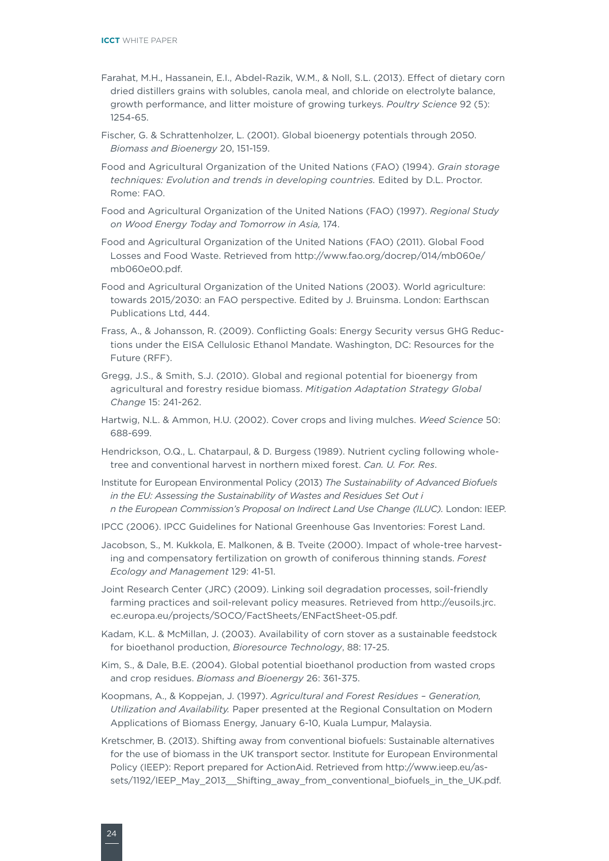- Farahat, M.H., Hassanein, E.I., Abdel-Razik, W.M., & Noll, S.L. (2013). Effect of dietary corn dried distillers grains with solubles, canola meal, and chloride on electrolyte balance, growth performance, and litter moisture of growing turkeys. *Poultry Science* 92 (5): 1254-65.
- Fischer, G. & Schrattenholzer, L. (2001). Global bioenergy potentials through 2050. *Biomass and Bioenergy* 20, 151-159.
- Food and Agricultural Organization of the United Nations (FAO) (1994). *Grain storage techniques: Evolution and trends in developing countries.* Edited by D.L. Proctor. Rome: FAO.
- Food and Agricultural Organization of the United Nations (FAO) (1997). *Regional Study on Wood Energy Today and Tomorrow in Asia,* 174.
- [Food and Agricultural Organization of the United Nations \(FAO\) \(2011\). Global Food](http://www.fao.org/docrep/014/mb060e/mb060e00.pdf)  [Losses and Food Waste. Retrieved from http://www.fao.org/docrep/014/mb060e/](http://www.fao.org/docrep/014/mb060e/mb060e00.pdf) [mb060e00.pdf](http://www.fao.org/docrep/014/mb060e/mb060e00.pdf).
- Food and Agricultural Organization of the United Nations (2003). World agriculture: towards 2015/2030: an FAO perspective. Edited by J. Bruinsma. London: Earthscan Publications Ltd, 444.
- Frass, A., & Johansson, R. (2009). Conflicting Goals: Energy Security versus GHG Reductions under the EISA Cellulosic Ethanol Mandate. Washington, DC: Resources for the Future (RFF).
- Gregg, J.S., & Smith, S.J. (2010). Global and regional potential for bioenergy from agricultural and forestry residue biomass. *Mitigation Adaptation Strategy Global Change* 15: 241-262.
- Hartwig, N.L. & Ammon, H.U. (2002). Cover crops and living mulches. *Weed Science* 50: 688-699.
- Hendrickson, O.Q., L. Chatarpaul, & D. Burgess (1989). Nutrient cycling following wholetree and conventional harvest in northern mixed forest. *Can. U. For. Res*.
- Institute for European Environmental Policy (2013) *The Sustainability of Advanced Biofuels in the EU: Assessing the Sustainability of Wastes and Residues Set Out i n the European Commission's Proposal on Indirect Land Use Change (ILUC).* London: IEEP.
- IPCC (2006). IPCC Guidelines for National Greenhouse Gas Inventories: Forest Land.
- Jacobson, S., M. Kukkola, E. Malkonen, & B. Tveite (2000). Impact of whole-tree harvesting and compensatory fertilization on growth of coniferous thinning stands. *Forest Ecology and Management* 129: 41-51.
- Joint Research Center (JRC) (2009). Linking soil degradation processes, soil-friendly farming practices and soil-relevant policy measures. Retrieved from http://eusoils.jrc. ec.europa.eu/projects/SOCO/FactSheets/ENFactSheet-05.pdf.
- Kadam, K.L. & McMillan, J. (2003). Availability of corn stover as a sustainable feedstock for bioethanol production, *Bioresource Technology*, 88: 17-25.
- Kim, S., & Dale, B.E. (2004). Global potential bioethanol production from wasted crops and crop residues. *Biomass and Bioenergy* 26: 361-375.
- Koopmans, A., & Koppejan, J. (1997). *Agricultural and Forest Residues Generation, Utilization and Availability.* Paper presented at the Regional Consultation on Modern Applications of Biomass Energy, January 6-10, Kuala Lumpur, Malaysia.
- Kretschmer, B. (2013). Shifting away from conventional biofuels: Sustainable alternatives for the use of biomass in the UK transport sector. Institute for European Environmental Policy (IEEP): Report prepared for ActionAid. Retrieved from http://www.ieep.eu/assets/1192/IEEP\_May\_2013\_\_Shifting\_away\_from\_conventional\_biofuels\_in\_the\_UK.pdf.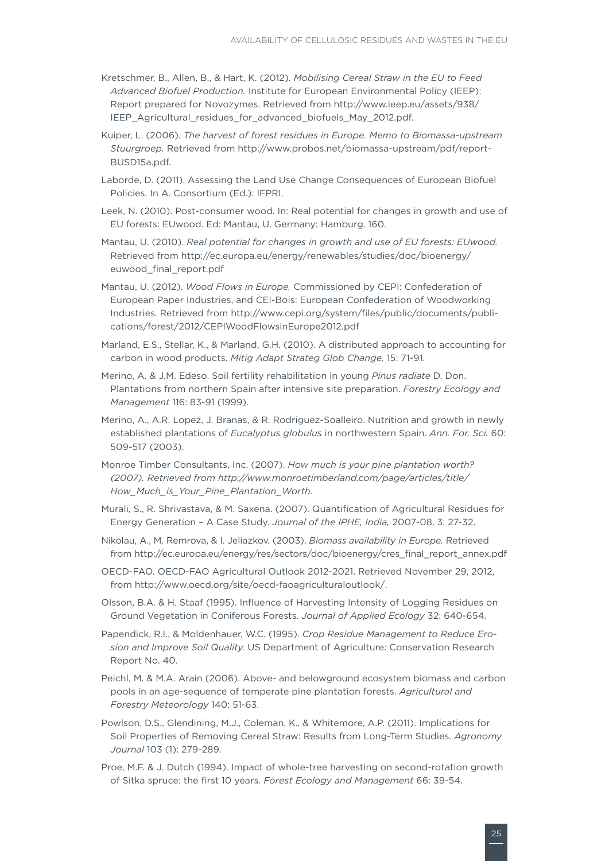- Kretschmer, B., Allen, B., & Hart, K. (2012). *Mobilising Cereal Straw in the EU to Feed Advanced Biofuel Production.* Institute for European Environmental Policy (IEEP): Report prepared for Novozymes. Retrieved from http://www.ieep.eu/assets/938/ IEEP\_Agricultural\_residues\_for\_advanced\_biofuels\_May\_2012.pdf.
- Kuiper, L. (2006). *The harvest of forest residues in Europe. Memo to Biomassa-upstream Stuurgroep.* Retrieved from http://www.probos.net/biomassa-upstream/pdf/report-BUSD15a.pdf.
- Laborde, D. (2011). Assessing the Land Use Change Consequences of European Biofuel Policies. In A. Consortium (Ed.): IFPRI.
- Leek, N. (2010). Post-consumer wood. In: Real potential for changes in growth and use of EU forests: EUwood. Ed: Mantau, U. Germany: Hamburg. 160.
- Mantau, U. (2010). *[Real potential for changes in growth and use of EU forests: EUwood.](file:///Users/valerie/Desktop/VS%20Graphic%20Design/Clients/(41)%20ICCT/projects/P41-067-13%20EU%20Waste%20Residue%20White%20Paper/Mantau,%20U.%20(2010).%20Real%20potential%20for%20changes%20in%20growth%20and%20use%20of%20EU%20forests:%20EUwood.%20Retrieved%20from%20http://ec.europa.eu/energy/renewables/studies/doc/bioenergy/euwood_final_report.pdf)* [Retrieved from http://ec.europa.eu/energy/renewables/studies/doc/bioenergy/](file:///Users/valerie/Desktop/VS%20Graphic%20Design/Clients/(41)%20ICCT/projects/P41-067-13%20EU%20Waste%20Residue%20White%20Paper/Mantau,%20U.%20(2010).%20Real%20potential%20for%20changes%20in%20growth%20and%20use%20of%20EU%20forests:%20EUwood.%20Retrieved%20from%20http://ec.europa.eu/energy/renewables/studies/doc/bioenergy/euwood_final_report.pdf) [euwood\\_final\\_report.pdf](file:///Users/valerie/Desktop/VS%20Graphic%20Design/Clients/(41)%20ICCT/projects/P41-067-13%20EU%20Waste%20Residue%20White%20Paper/Mantau,%20U.%20(2010).%20Real%20potential%20for%20changes%20in%20growth%20and%20use%20of%20EU%20forests:%20EUwood.%20Retrieved%20from%20http://ec.europa.eu/energy/renewables/studies/doc/bioenergy/euwood_final_report.pdf)
- Mantau, U. (2012). *Wood Flows in Europe.* [Commissioned by CEPI: Confederation of](file:///Users/valerie/Desktop/VS%20Graphic%20Design/Clients/(41)%20ICCT/projects/P41-067-13%20EU%20Waste%20Residue%20White%20Paper/Mantau,%20U.%20(2012).%20Wood%20Flows%20in%20Europe.%20Commissioned%20by%20CEPI:%20Confederation%20of%20European%20Paper%20Industries,%20and%20CEI-Bois:%20European%20Confederation%20of%20Woodworking%20Industries.%20Retrieved%20from%20http://www.cepi.org/system/files/public/documents/publications/forest/2012/CEPIWoodFlowsinEurope2012.pdf)  [European Paper Industries, and CEI-Bois: European Confederation of Woodworking](file:///Users/valerie/Desktop/VS%20Graphic%20Design/Clients/(41)%20ICCT/projects/P41-067-13%20EU%20Waste%20Residue%20White%20Paper/Mantau,%20U.%20(2012).%20Wood%20Flows%20in%20Europe.%20Commissioned%20by%20CEPI:%20Confederation%20of%20European%20Paper%20Industries,%20and%20CEI-Bois:%20European%20Confederation%20of%20Woodworking%20Industries.%20Retrieved%20from%20http://www.cepi.org/system/files/public/documents/publications/forest/2012/CEPIWoodFlowsinEurope2012.pdf)  [Industries. Retrieved from http://www.cepi.org/system/files/public/documents/publi](file:///Users/valerie/Desktop/VS%20Graphic%20Design/Clients/(41)%20ICCT/projects/P41-067-13%20EU%20Waste%20Residue%20White%20Paper/Mantau,%20U.%20(2012).%20Wood%20Flows%20in%20Europe.%20Commissioned%20by%20CEPI:%20Confederation%20of%20European%20Paper%20Industries,%20and%20CEI-Bois:%20European%20Confederation%20of%20Woodworking%20Industries.%20Retrieved%20from%20http://www.cepi.org/system/files/public/documents/publications/forest/2012/CEPIWoodFlowsinEurope2012.pdf)[cations/forest/2012/CEPIWoodFlowsinEurope2012.pdf](file:///Users/valerie/Desktop/VS%20Graphic%20Design/Clients/(41)%20ICCT/projects/P41-067-13%20EU%20Waste%20Residue%20White%20Paper/Mantau,%20U.%20(2012).%20Wood%20Flows%20in%20Europe.%20Commissioned%20by%20CEPI:%20Confederation%20of%20European%20Paper%20Industries,%20and%20CEI-Bois:%20European%20Confederation%20of%20Woodworking%20Industries.%20Retrieved%20from%20http://www.cepi.org/system/files/public/documents/publications/forest/2012/CEPIWoodFlowsinEurope2012.pdf)
- Marland, E.S., Stellar, K., & Marland, G.H. (2010). A distributed approach to accounting for carbon in wood products. *Mitig Adapt Strateg Glob Change,* 15: 71-91.
- Merino, A. & J.M. Edeso. Soil fertility rehabilitation in young *Pinus radiate* D. Don. Plantations from northern Spain after intensive site preparation. *Forestry Ecology and Management* 116: 83-91 (1999).
- Merino, A., A.R. Lopez, J. Branas, & R. Rodriguez-Soalleiro. Nutrition and growth in newly established plantations of *Eucalyptus globulus* in northwestern Spain. *Ann. For. Sci.* 60: 509-517 (2003).
- Monroe Timber Consultants, Inc. (2007). *How much is your pine plantation worth? (2007). Retrieved from http://www.monroetimberland.com/page/articles/title/ How\_Much\_is\_Your\_Pine\_Plantation\_Worth.*
- Murali, S., R. Shrivastava, & M. Saxena. (2007). Quantification of Agricultural Residues for Energy Generation – A Case Study. *Journal of the IPHE, India,* 2007-08, 3: 27-32.
- Nikolau, A., M. Remrova, & I. Jeliazkov. (2003). *Biomass availability in Europe.* Retrieved from http://ec.europa.eu/energy/res/sectors/doc/bioenergy/cres\_final\_report\_annex.pdf
- OECD-FAO. OECD-FAO Agricultural Outlook 2012-2021. Retrieved November 29, 2012, from http://www.oecd.org/site/oecd-faoagriculturaloutlook/.
- Olsson, B.A. & H. Staaf (1995). Influence of Harvesting Intensity of Logging Residues on Ground Vegetation in Coniferous Forests. *Journal of Applied Ecology* 32: 640-654.
- Papendick, R.I., & Moldenhauer, W.C. (1995). *Crop Residue Management to Reduce Erosion and Improve Soil Quality.* US Department of Agriculture: Conservation Research Report No. 40.
- Peichl, M. & M.A. Arain (2006). Above- and belowground ecosystem biomass and carbon pools in an age-sequence of temperate pine plantation forests. *Agricultural and Forestry Meteorology* 140: 51-63.
- Powlson, D.S., Glendining, M.J., Coleman, K., & Whitemore, A.P. (2011). Implications for Soil Properties of Removing Cereal Straw: Results from Long-Term Studies. *Agronomy Journal* 103 (1): 279-289.
- Proe, M.F. & J. Dutch (1994). Impact of whole-tree harvesting on second-rotation growth of Sitka spruce: the first 10 years. *Forest Ecology and Management* 66: 39-54.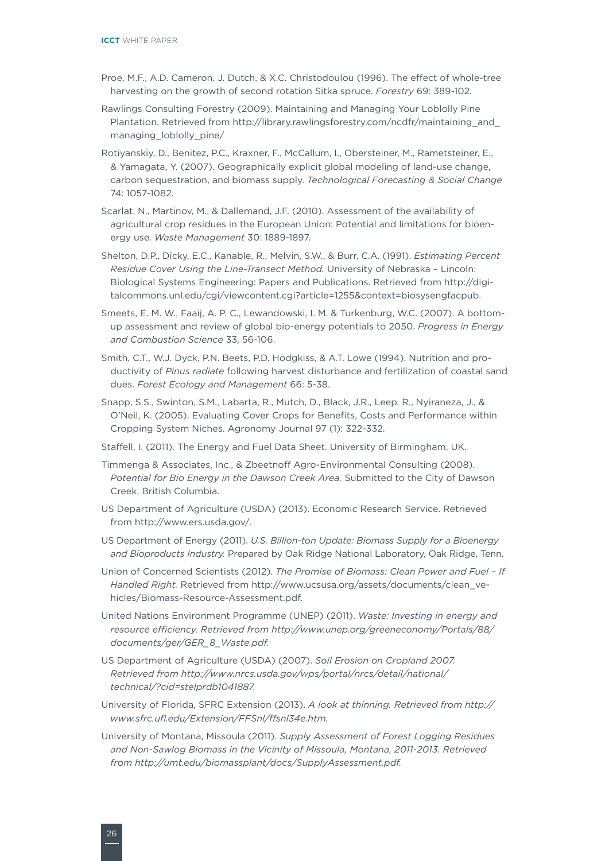- Proe, M.F., A.D. Cameron, J. Dutch, & X.C. Christodoulou (1996). The effect of whole-tree harvesting on the growth of second rotation Sitka spruce. *Forestry* 69: 389-102.
- Rawlings Consulting Forestry (2009). Maintaining and Managing Your Loblolly Pine Plantation. Retrieved from http://library.rawlingsforestry.com/ncdfr/maintaining\_and\_ managing\_loblolly\_pine/
- Rotiyanskiy, D., Benitez, P.C., Kraxner, F., McCallum, I., Obersteiner, M., Rametsteiner, E., & Yamagata, Y. (2007). Geographically explicit global modeling of land-use change, carbon sequestration, and biomass supply. *Technological Forecasting & Social Change* 74: 1057-1082.
- Scarlat, N., Martinov, M., & Dallemand, J.F. (2010). Assessment of the availability of agricultural crop residues in the European Union: Potential and limitations for bioenergy use. *Waste Management* 30: 1889-1897.
- Shelton, D.P., Dicky, E.C., Kanable, R., Melvin, S.W., & Burr, C.A. (1991). *Estimating Percent Residue Cover Using the Line-Transect Method.* University of Nebraska – Lincoln: Biological Systems Engineering: Papers and Publications. Retrieved from http://digitalcommons.unl.edu/cgi/viewcontent.cgi?article=1255&context=biosysengfacpub.
- Smeets, E. M. W., Faaij, A. P. C., Lewandowski, I. M. & Turkenburg, W.C. (2007). A bottomup assessment and review of global bio-energy potentials to 2050. *Progress in Energy and Combustion Science* 33, 56-106.
- Smith, C.T., W.J. Dyck, P.N. Beets, P.D. Hodgkiss, & A.T. Lowe (1994). Nutrition and productivity of *Pinus radiate* following harvest disturbance and fertilization of coastal sand dues. *Forest Ecology and Management* 66: 5-38.
- Snapp, S.S., Swinton, S.M., Labarta, R., Mutch, D., Black, J.R., Leep, R., Nyiraneza, J., & O'Neil, K. (2005). Evaluating Cover Crops for Benefits, Costs and Performance within Cropping System Niches. Agronomy Journal 97 (1): 322-332.
- Staffell, I. (2011). The Energy and Fuel Data Sheet. University of Birmingham, UK.
- Timmenga & Associates, Inc., & Zbeetnoff Agro-Environmental Consulting (2008). *Potential for Bio Energy in the Dawson Creek Area.* Submitted to the City of Dawson Creek, British Columbia.
- [US Department of Agriculture \(USDA\) \(2013\). Economic Research Service. Retrieved](file:///Users/valerie/Desktop/VS%20Graphic%20Design/Clients/(41)%20ICCT/projects/P41-067-13%20EU%20Waste%20Residue%20White%20Paper/US%20Department%20of%20Agriculture%20(USDA)%20(2013).%20Economic%20Research%20Service.%20Retrieved%20from%20http://www.ers.usda.gov/)  [from http://www.ers.usda.gov/](file:///Users/valerie/Desktop/VS%20Graphic%20Design/Clients/(41)%20ICCT/projects/P41-067-13%20EU%20Waste%20Residue%20White%20Paper/US%20Department%20of%20Agriculture%20(USDA)%20(2013).%20Economic%20Research%20Service.%20Retrieved%20from%20http://www.ers.usda.gov/).
- US Department of Energy (2011). *U.S. Billion-ton Update: Biomass Supply for a Bioenergy and Bioproducts Industry.* Prepared by Oak Ridge National Laboratory, Oak Ridge, Tenn.
- Union of Concerned Scientists (2012). *The Promise of Biomass: Clean Power and Fuel If Handled Right.* Retrieved from http://www.ucsusa.org/assets/documents/clean\_vehicles/Biomass-Resource-Assessment.pdf.
- United Nations Environment Programme (UNEP) (2011). *Waste: Investing in energy and resource efficiency. Retrieved from http://www.unep.org/greeneconomy/Portals/88/ documents/ger/GER\_8\_Waste.pdf.*
- US Department of Agriculture (USDA) (2007). *Soil Erosion on Cropland 2007. Retrieved from http://www.nrcs.usda.gov/wps/portal/nrcs/detail/national/ technical/?cid=stelprdb1041887.*
- University of Florida, SFRC Extension (2013). *A look at thinning. Retrieved from http:// www.sfrc.ufl.edu/Extension/FFSnl/ffsnl34e.htm.*
- University of Montana, Missoula (2011). *Supply Assessment of Forest Logging Residues and Non-Sawlog Biomass in the Vicinity of Missoula, Montana, 2011-2013. Retrieved from http://umt.edu/biomassplant/docs/SupplyAssessment.pdf.*